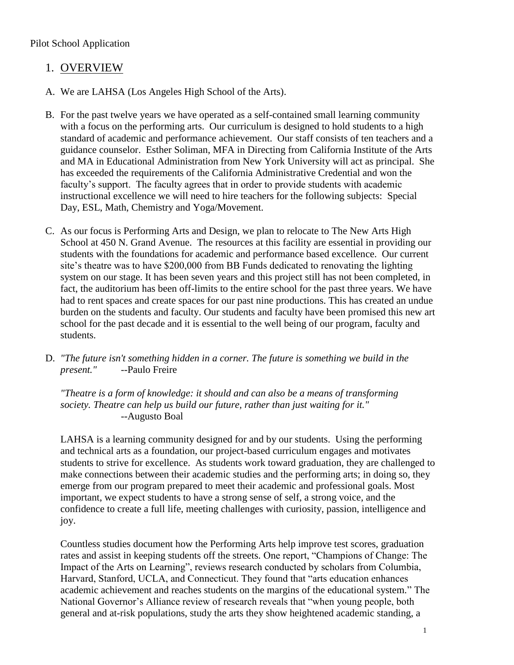### Pilot School Application

## 1. OVERVIEW

- A. We are LAHSA (Los Angeles High School of the Arts).
- B. For the past twelve years we have operated as a self-contained small learning community with a focus on the performing arts. Our curriculum is designed to hold students to a high standard of academic and performance achievement. Our staff consists of ten teachers and a guidance counselor. Esther Soliman, MFA in Directing from California Institute of the Arts and MA in Educational Administration from New York University will act as principal. She has exceeded the requirements of the California Administrative Credential and won the faculty's support. The faculty agrees that in order to provide students with academic instructional excellence we will need to hire teachers for the following subjects: Special Day, ESL, Math, Chemistry and Yoga/Movement.
- C. As our focus is Performing Arts and Design, we plan to relocate to The New Arts High School at 450 N. Grand Avenue. The resources at this facility are essential in providing our students with the foundations for academic and performance based excellence. Our current site's theatre was to have \$200,000 from BB Funds dedicated to renovating the lighting system on our stage. It has been seven years and this project still has not been completed, in fact, the auditorium has been off-limits to the entire school for the past three years. We have had to rent spaces and create spaces for our past nine productions. This has created an undue burden on the students and faculty. Our students and faculty have been promised this new art school for the past decade and it is essential to the well being of our program, faculty and students.
- D. *"The future isn't something hidden in a corner. The future is something we build in the present." --*Paulo Freire

*"Theatre is a form of knowledge: it should and can also be a means of transforming society. Theatre can help us build our future, rather than just waiting for it." --*Augusto Boal

LAHSA is a learning community designed for and by our students. Using the performing and technical arts as a foundation, our project-based curriculum engages and motivates students to strive for excellence. As students work toward graduation, they are challenged to make connections between their academic studies and the performing arts; in doing so, they emerge from our program prepared to meet their academic and professional goals. Most important, we expect students to have a strong sense of self, a strong voice, and the confidence to create a full life, meeting challenges with curiosity, passion, intelligence and joy.

Countless studies document how the Performing Arts help improve test scores, graduation rates and assist in keeping students off the streets. One report, "Champions of Change: The Impact of the Arts on Learning", reviews research conducted by scholars from Columbia, Harvard, Stanford, UCLA, and Connecticut. They found that "arts education enhances academic achievement and reaches students on the margins of the educational system." The National Governor's Alliance review of research reveals that "when young people, both general and at-risk populations, study the arts they show heightened academic standing, a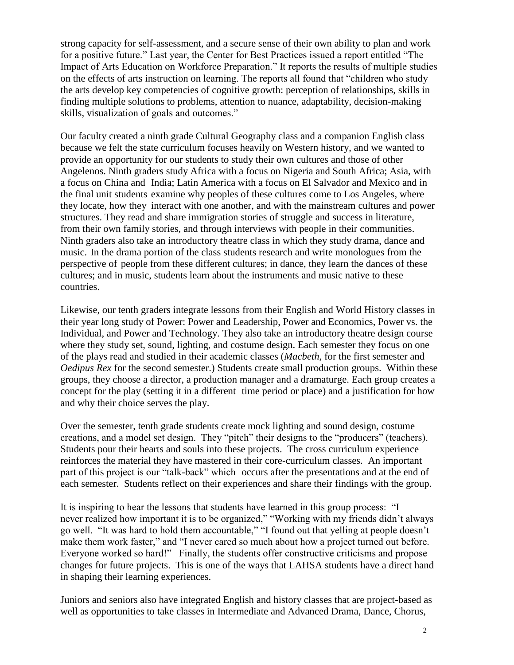strong capacity for self-assessment, and a secure sense of their own ability to plan and work for a positive future." Last year, the Center for Best Practices issued a report entitled "The Impact of Arts Education on Workforce Preparation." It reports the results of multiple studies on the effects of arts instruction on learning. The reports all found that "children who study the arts develop key competencies of cognitive growth: perception of relationships, skills in finding multiple solutions to problems, attention to nuance, adaptability, decision-making skills, visualization of goals and outcomes."

Our faculty created a ninth grade Cultural Geography class and a companion English class because we felt the state curriculum focuses heavily on Western history, and we wanted to provide an opportunity for our students to study their own cultures and those of other Angelenos. Ninth graders study Africa with a focus on Nigeria and South Africa; Asia, with a focus on China and India; Latin America with a focus on El Salvador and Mexico and in the final unit students examine why peoples of these cultures come to Los Angeles, where they locate, how they interact with one another, and with the mainstream cultures and power structures. They read and share immigration stories of struggle and success in literature, from their own family stories, and through interviews with people in their communities. Ninth graders also take an introductory theatre class in which they study drama, dance and music. In the drama portion of the class students research and write monologues from the perspective of people from these different cultures; in dance, they learn the dances of these cultures; and in music, students learn about the instruments and music native to these countries.

Likewise, our tenth graders integrate lessons from their English and World History classes in their year long study of Power: Power and Leadership, Power and Economics, Power vs. the Individual, and Power and Technology. They also take an introductory theatre design course where they study set, sound, lighting, and costume design. Each semester they focus on one of the plays read and studied in their academic classes (*Macbeth,* for the first semester and *Oedipus Rex* for the second semester.) Students create small production groups. Within these groups, they choose a director, a production manager and a dramaturge. Each group creates a concept for the play (setting it in a different time period or place) and a justification for how and why their choice serves the play.

Over the semester, tenth grade students create mock lighting and sound design, costume creations, and a model set design. They "pitch" their designs to the "producers" (teachers). Students pour their hearts and souls into these projects. The cross curriculum experience reinforces the material they have mastered in their core-curriculum classes. An important part of this project is our "talk-back" which occurs after the presentations and at the end of each semester. Students reflect on their experiences and share their findings with the group.

It is inspiring to hear the lessons that students have learned in this group process: "I never realized how important it is to be organized," "Working with my friends didn't always go well. "It was hard to hold them accountable," "I found out that yelling at people doesn't make them work faster," and "I never cared so much about how a project turned out before. Everyone worked so hard!" Finally, the students offer constructive criticisms and propose changes for future projects. This is one of the ways that LAHSA students have a direct hand in shaping their learning experiences.

Juniors and seniors also have integrated English and history classes that are project-based as well as opportunities to take classes in Intermediate and Advanced Drama, Dance, Chorus,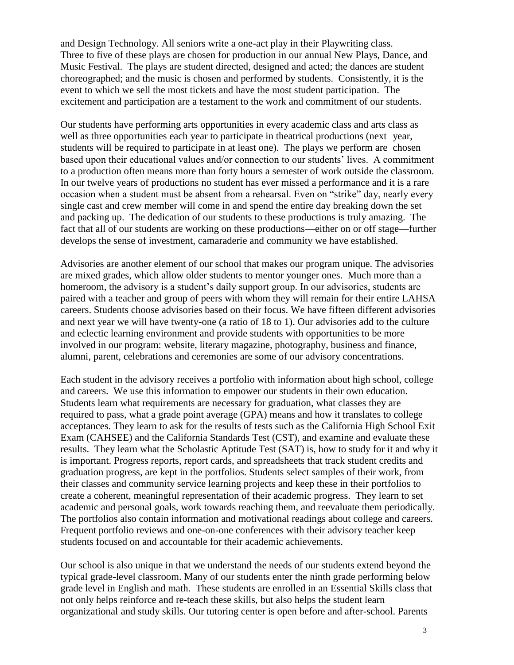and Design Technology. All seniors write a one-act play in their Playwriting class. Three to five of these plays are chosen for production in our annual New Plays, Dance, and Music Festival. The plays are student directed, designed and acted; the dances are student choreographed; and the music is chosen and performed by students. Consistently, it is the event to which we sell the most tickets and have the most student participation. The excitement and participation are a testament to the work and commitment of our students.

Our students have performing arts opportunities in every academic class and arts class as well as three opportunities each year to participate in theatrical productions (next year, students will be required to participate in at least one). The plays we perform are chosen based upon their educational values and/or connection to our students' lives. A commitment to a production often means more than forty hours a semester of work outside the classroom. In our twelve years of productions no student has ever missed a performance and it is a rare occasion when a student must be absent from a rehearsal. Even on "strike" day, nearly every single cast and crew member will come in and spend the entire day breaking down the set and packing up. The dedication of our students to these productions is truly amazing. The fact that all of our students are working on these productions—either on or off stage—further develops the sense of investment, camaraderie and community we have established.

Advisories are another element of our school that makes our program unique. The advisories are mixed grades, which allow older students to mentor younger ones. Much more than a homeroom, the advisory is a student's daily support group. In our advisories, students are paired with a teacher and group of peers with whom they will remain for their entire LAHSA careers. Students choose advisories based on their focus. We have fifteen different advisories and next year we will have twenty-one (a ratio of 18 to 1). Our advisories add to the culture and eclectic learning environment and provide students with opportunities to be more involved in our program: website, literary magazine, photography, business and finance, alumni, parent, celebrations and ceremonies are some of our advisory concentrations.

Each student in the advisory receives a portfolio with information about high school, college and careers. We use this information to empower our students in their own education. Students learn what requirements are necessary for graduation, what classes they are required to pass, what a grade point average (GPA) means and how it translates to college acceptances. They learn to ask for the results of tests such as the California High School Exit Exam (CAHSEE) and the California Standards Test (CST), and examine and evaluate these results. They learn what the Scholastic Aptitude Test (SAT) is, how to study for it and why it is important. Progress reports, report cards, and spreadsheets that track student credits and graduation progress, are kept in the portfolios. Students select samples of their work, from their classes and community service learning projects and keep these in their portfolios to create a coherent, meaningful representation of their academic progress. They learn to set academic and personal goals, work towards reaching them, and reevaluate them periodically. The portfolios also contain information and motivational readings about college and careers. Frequent portfolio reviews and one-on-one conferences with their advisory teacher keep students focused on and accountable for their academic achievements.

Our school is also unique in that we understand the needs of our students extend beyond the typical grade-level classroom. Many of our students enter the ninth grade performing below grade level in English and math. These students are enrolled in an Essential Skills class that not only helps reinforce and re-teach these skills, but also helps the student learn organizational and study skills. Our tutoring center is open before and after-school. Parents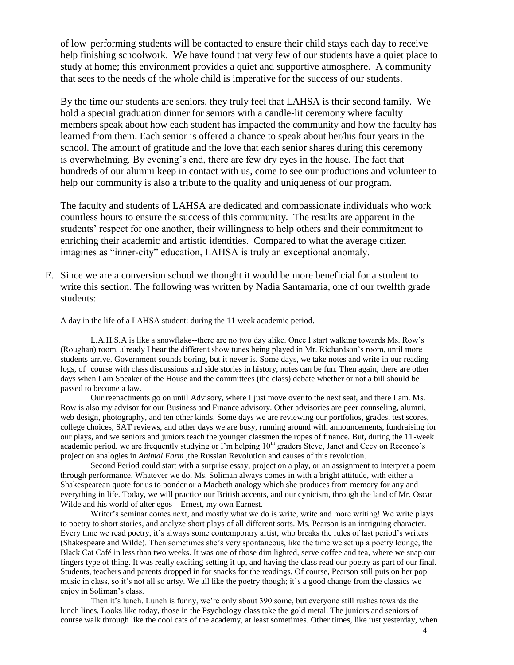of low performing students will be contacted to ensure their child stays each day to receive help finishing schoolwork. We have found that very few of our students have a quiet place to study at home; this environment provides a quiet and supportive atmosphere. A community that sees to the needs of the whole child is imperative for the success of our students.

By the time our students are seniors, they truly feel that LAHSA is their second family. We hold a special graduation dinner for seniors with a candle-lit ceremony where faculty members speak about how each student has impacted the community and how the faculty has learned from them. Each senior is offered a chance to speak about her/his four years in the school. The amount of gratitude and the love that each senior shares during this ceremony is overwhelming. By evening's end, there are few dry eyes in the house. The fact that hundreds of our alumni keep in contact with us, come to see our productions and volunteer to help our community is also a tribute to the quality and uniqueness of our program.

The faculty and students of LAHSA are dedicated and compassionate individuals who work countless hours to ensure the success of this community. The results are apparent in the students' respect for one another, their willingness to help others and their commitment to enriching their academic and artistic identities. Compared to what the average citizen imagines as "inner-city" education, LAHSA is truly an exceptional anomaly.

E. Since we are a conversion school we thought it would be more beneficial for a student to write this section. The following was written by Nadia Santamaria, one of our twelfth grade students:

A day in the life of a LAHSA student: during the 11 week academic period.

L.A.H.S.A is like a snowflake--there are no two day alike. Once I start walking towards Ms. Row's (Roughan) room, already I hear the different show tunes being played in Mr. Richardson's room, until more students arrive. Government sounds boring, but it never is. Some days, we take notes and write in our reading logs, of course with class discussions and side stories in history, notes can be fun. Then again, there are other days when I am Speaker of the House and the committees (the class) debate whether or not a bill should be passed to become a law.

Our reenactments go on until Advisory, where I just move over to the next seat, and there I am. Ms. Row is also my advisor for our Business and Finance advisory. Other advisories are peer counseling, alumni, web design, photography, and ten other kinds. Some days we are reviewing our portfolios, grades, test scores, college choices, SAT reviews, and other days we are busy, running around with announcements, fundraising for our plays, and we seniors and juniors teach the younger classmen the ropes of finance. But, during the 11-week academic period, we are frequently studying or I'm helping 10<sup>th</sup> graders Steve, Janet and Cecy on Reconco's project on analogies in *Animal Farm* ,the Russian Revolution and causes of this revolution.

Second Period could start with a surprise essay, project on a play, or an assignment to interpret a poem through performance. Whatever we do, Ms. Soliman always comes in with a bright attitude, with either a Shakespearean quote for us to ponder or a Macbeth analogy which she produces from memory for any and everything in life. Today, we will practice our British accents, and our cynicism, through the land of Mr. Oscar Wilde and his world of alter egos—Ernest, my own Earnest.

Writer's seminar comes next, and mostly what we do is write, write and more writing! We write plays to poetry to short stories, and analyze short plays of all different sorts. Ms. Pearson is an intriguing character. Every time we read poetry, it's always some contemporary artist, who breaks the rules of last period's writers (Shakespeare and Wilde). Then sometimes she's very spontaneous, like the time we set up a poetry lounge, the Black Cat Café in less than two weeks. It was one of those dim lighted, serve coffee and tea, where we snap our fingers type of thing. It was really exciting setting it up, and having the class read our poetry as part of our final. Students, teachers and parents dropped in for snacks for the readings. Of course, Pearson still puts on her pop music in class, so it's not all so artsy. We all like the poetry though; it's a good change from the classics we enjoy in Soliman's class.

Then it's lunch. Lunch is funny, we're only about 390 some, but everyone still rushes towards the lunch lines. Looks like today, those in the Psychology class take the gold metal. The juniors and seniors of course walk through like the cool cats of the academy, at least sometimes. Other times, like just yesterday, when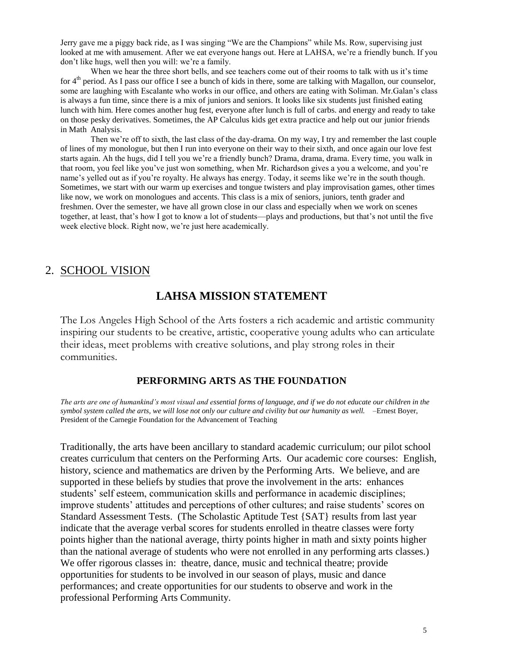Jerry gave me a piggy back ride, as I was singing "We are the Champions" while Ms. Row, supervising just looked at me with amusement. After we eat everyone hangs out. Here at LAHSA, we're a friendly bunch. If you don't like hugs, well then you will: we're a family.

When we hear the three short bells, and see teachers come out of their rooms to talk with us it's time for  $4<sup>th</sup>$  period. As I pass our office I see a bunch of kids in there, some are talking with Magallon, our counselor, some are laughing with Escalante who works in our office, and others are eating with Soliman. Mr.Galan's class is always a fun time, since there is a mix of juniors and seniors. It looks like six students just finished eating lunch with him. Here comes another hug fest, everyone after lunch is full of carbs. and energy and ready to take on those pesky derivatives. Sometimes, the AP Calculus kids get extra practice and help out our junior friends in Math Analysis.

Then we're off to sixth, the last class of the day-drama. On my way, I try and remember the last couple of lines of my monologue, but then I run into everyone on their way to their sixth, and once again our love fest starts again. Ah the hugs, did I tell you we're a friendly bunch? Drama, drama, drama. Every time, you walk in that room, you feel like you've just won something, when Mr. Richardson gives a you a welcome, and you're name's yelled out as if you're royalty. He always has energy. Today, it seems like we're in the south though. Sometimes, we start with our warm up exercises and tongue twisters and play improvisation games, other times like now, we work on monologues and accents. This class is a mix of seniors, juniors, tenth grader and freshmen. Over the semester, we have all grown close in our class and especially when we work on scenes together, at least, that's how I got to know a lot of students—plays and productions, but that's not until the five week elective block. Right now, we're just here academically.

#### 2. SCHOOL VISION

### **LAHSA MISSION STATEMENT**

The Los Angeles High School of the Arts fosters a rich academic and artistic community inspiring our students to be creative, artistic, cooperative young adults who can articulate their ideas, meet problems with creative solutions, and play strong roles in their communities.

#### **PERFORMING ARTS AS THE FOUNDATION**

*The arts are one of humankind's most visual and essential forms of language, and if we do not educate our children in the symbol system called the arts, we will lose not only our culture and civility but our humanity as well.* –Ernest Boyer, President of the Carnegie Foundation for the Advancement of Teaching

Traditionally, the arts have been ancillary to standard academic curriculum; our pilot school creates curriculum that centers on the Performing Arts. Our academic core courses: English, history, science and mathematics are driven by the Performing Arts. We believe, and are supported in these beliefs by studies that prove the involvement in the arts: enhances students' self esteem, communication skills and performance in academic disciplines; improve students' attitudes and perceptions of other cultures; and raise students' scores on Standard Assessment Tests. (The Scholastic Aptitude Test {SAT} results from last year indicate that the average verbal scores for students enrolled in theatre classes were forty points higher than the national average, thirty points higher in math and sixty points higher than the national average of students who were not enrolled in any performing arts classes.) We offer rigorous classes in: theatre, dance, music and technical theatre; provide opportunities for students to be involved in our season of plays, music and dance performances; and create opportunities for our students to observe and work in the professional Performing Arts Community.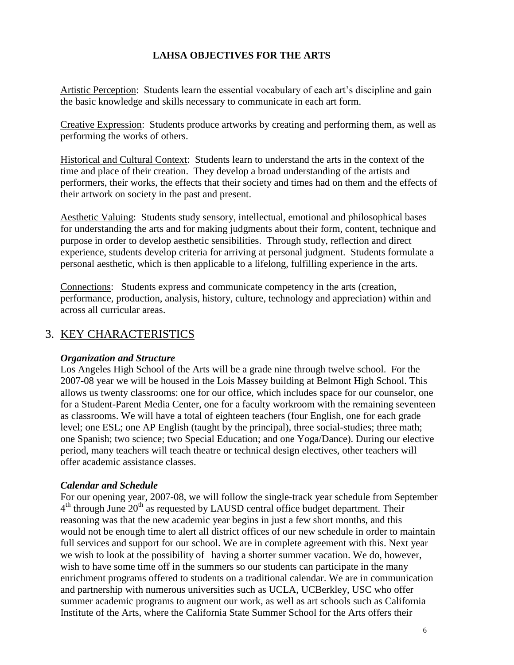### **LAHSA OBJECTIVES FOR THE ARTS**

Artistic Perception: Students learn the essential vocabulary of each art's discipline and gain the basic knowledge and skills necessary to communicate in each art form.

Creative Expression: Students produce artworks by creating and performing them, as well as performing the works of others.

Historical and Cultural Context: Students learn to understand the arts in the context of the time and place of their creation. They develop a broad understanding of the artists and performers, their works, the effects that their society and times had on them and the effects of their artwork on society in the past and present.

Aesthetic Valuing: Students study sensory, intellectual, emotional and philosophical bases for understanding the arts and for making judgments about their form, content, technique and purpose in order to develop aesthetic sensibilities. Through study, reflection and direct experience, students develop criteria for arriving at personal judgment. Students formulate a personal aesthetic, which is then applicable to a lifelong, fulfilling experience in the arts.

Connections: Students express and communicate competency in the arts (creation, performance, production, analysis, history, culture, technology and appreciation) within and across all curricular areas.

# 3. KEY CHARACTERISTICS

#### *Organization and Structure*

Los Angeles High School of the Arts will be a grade nine through twelve school. For the 2007-08 year we will be housed in the Lois Massey building at Belmont High School. This allows us twenty classrooms: one for our office, which includes space for our counselor, one for a Student-Parent Media Center, one for a faculty workroom with the remaining seventeen as classrooms. We will have a total of eighteen teachers (four English, one for each grade level; one ESL; one AP English (taught by the principal), three social-studies; three math; one Spanish; two science; two Special Education; and one Yoga/Dance). During our elective period, many teachers will teach theatre or technical design electives, other teachers will offer academic assistance classes.

#### *Calendar and Schedule*

For our opening year, 2007-08, we will follow the single-track year schedule from September 4<sup>th</sup> through June 20<sup>th</sup> as requested by LAUSD central office budget department. Their reasoning was that the new academic year begins in just a few short months, and this would not be enough time to alert all district offices of our new schedule in order to maintain full services and support for our school. We are in complete agreement with this. Next year we wish to look at the possibility of having a shorter summer vacation. We do, however, wish to have some time off in the summers so our students can participate in the many enrichment programs offered to students on a traditional calendar. We are in communication and partnership with numerous universities such as UCLA, UCBerkley, USC who offer summer academic programs to augment our work, as well as art schools such as California Institute of the Arts, where the California State Summer School for the Arts offers their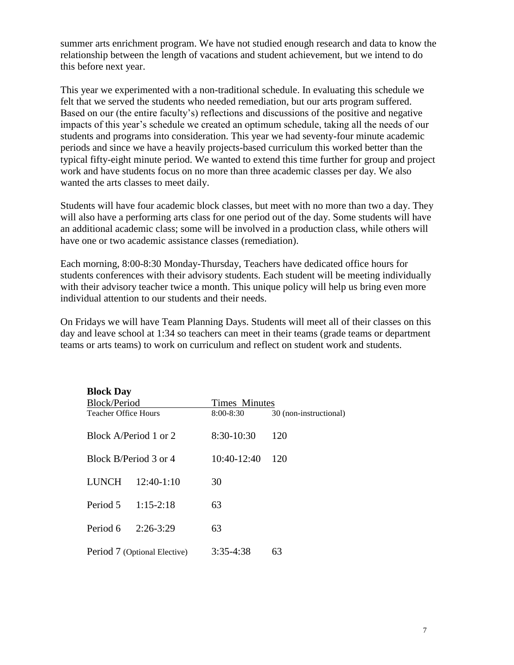summer arts enrichment program. We have not studied enough research and data to know the relationship between the length of vacations and student achievement, but we intend to do this before next year.

This year we experimented with a non-traditional schedule. In evaluating this schedule we felt that we served the students who needed remediation, but our arts program suffered. Based on our (the entire faculty's) reflections and discussions of the positive and negative impacts of this year's schedule we created an optimum schedule, taking all the needs of our students and programs into consideration. This year we had seventy-four minute academic periods and since we have a heavily projects-based curriculum this worked better than the typical fifty-eight minute period. We wanted to extend this time further for group and project work and have students focus on no more than three academic classes per day. We also wanted the arts classes to meet daily.

Students will have four academic block classes, but meet with no more than two a day. They will also have a performing arts class for one period out of the day. Some students will have an additional academic class; some will be involved in a production class, while others will have one or two academic assistance classes (remediation).

Each morning, 8:00-8:30 Monday-Thursday, Teachers have dedicated office hours for students conferences with their advisory students. Each student will be meeting individually with their advisory teacher twice a month. This unique policy will help us bring even more individual attention to our students and their needs.

On Fridays we will have Team Planning Days. Students will meet all of their classes on this day and leave school at 1:34 so teachers can meet in their teams (grade teams or department teams or arts teams) to work on curriculum and reflect on student work and students.

| <b>Block Day</b>            |                              |               |                        |
|-----------------------------|------------------------------|---------------|------------------------|
| Block/Period                |                              | Times Minutes |                        |
| <b>Teacher Office Hours</b> |                              | 8:00-8:30     | 30 (non-instructional) |
|                             | Block A/Period 1 or 2        | 8:30-10:30    | 120                    |
|                             | Block B/Period 3 or 4        | 10:40-12:40   | 120                    |
| <b>LUNCH</b>                | $12:40-1:10$                 | 30            |                        |
| Period 5                    | $1:15-2:18$                  | 63            |                        |
| Period 6                    | $2:26-3:29$                  | 63            |                        |
|                             | Period 7 (Optional Elective) | $3:35-4:38$   | 63                     |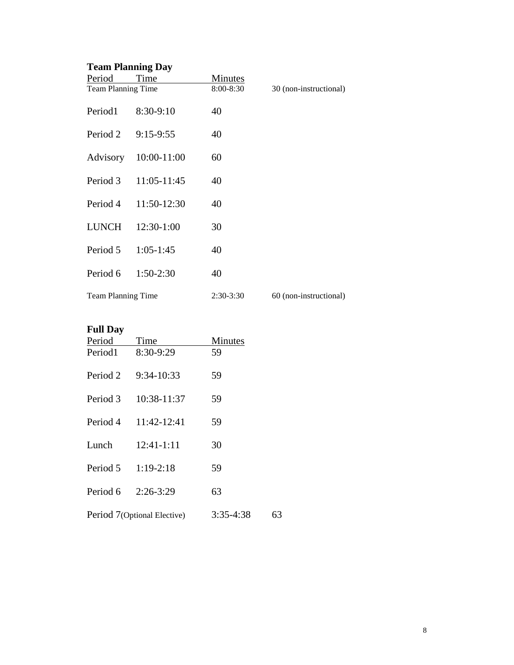# **Team Planning Day**

| Period             | Time                 | Minutes   |                        |
|--------------------|----------------------|-----------|------------------------|
| Team Planning Time |                      | 8:00-8:30 | 30 (non-instructional) |
| Period1            | 8:30-9:10            | 40        |                        |
| Period 2           | $9:15-9:55$          | 40        |                        |
|                    | Advisory 10:00-11:00 | 60        |                        |
| Period 3           | 11:05-11:45          | 40        |                        |
| Period 4           | 11:50-12:30          | 40        |                        |
| LUNCH              | 12:30-1:00           | 30        |                        |
| Period 5           | $1:05-1:45$          | 40        |                        |
| Period 6           | $1:50-2:30$          | 40        |                        |
| Team Planning Time |                      | 2:30-3:30 | 60 (non-instructional) |

## **Full Day**

| Period   | Time                        | Minutes     |    |
|----------|-----------------------------|-------------|----|
| Period1  | 8:30-9:29                   | 59          |    |
| Period 2 | $9:34-10:33$                | 59          |    |
| Period 3 | 10:38-11:37                 | 59          |    |
| Period 4 | 11:42-12:41                 | 59          |    |
| Lunch    | $12:41-1:11$                | 30          |    |
| Period 5 | $1:19-2:18$                 | 59          |    |
| Period 6 | $2:26-3:29$                 | 63          |    |
|          | Period 7(Optional Elective) | $3:35-4:38$ | 63 |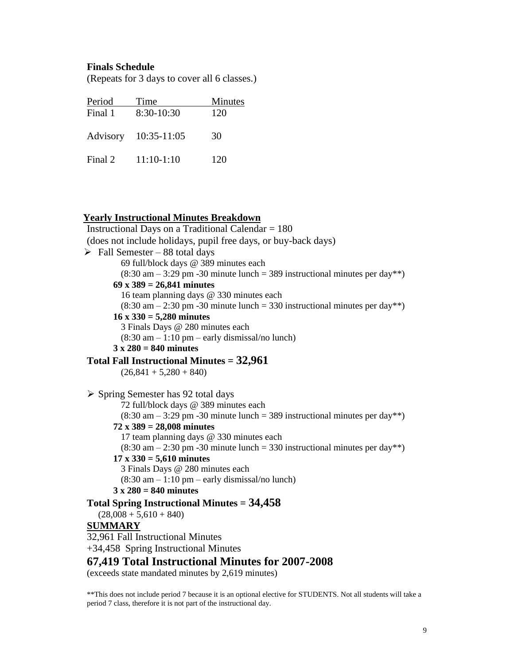#### **Finals Schedule**

(Repeats for 3 days to cover all 6 classes.)

| Period  | Time                 | Minutes |
|---------|----------------------|---------|
| Final 1 | 8:30-10:30           | 120     |
|         | Advisory 10:35-11:05 | 30      |
| Final 2 | $11:10-1:10$         | 120     |

#### **Yearly Instructional Minutes Breakdown**

Instructional Days on a Traditional Calendar = 180 (does not include holidays, pupil free days, or buy-back days)  $\triangleright$  Fall Semester – 88 total days 69 full/block days @ 389 minutes each  $(8:30 \text{ am} - 3:29 \text{ pm} - 30 \text{ minute lunch} = 389 \text{ instructional minutes per day}$ \*\*) **69 x 389 = 26,841 minutes** 16 team planning days @ 330 minutes each  $(8:30 \text{ am} - 2:30 \text{ pm} - 30 \text{ minute lunch} = 330 \text{ instructional minutes per day}$ \*\*) **16 x 330 = 5,280 minutes** 3 Finals Days @ 280 minutes each  $(8:30 \text{ am} - 1:10 \text{ pm} - \text{early dismissal/no lunch})$ **3 x 280 = 840 minutes Total Fall Instructional Minutes = 32,961**  $(26,841 + 5,280 + 840)$  $\triangleright$  Spring Semester has 92 total days 72 full/block days @ 389 minutes each  $(8:30 \text{ am} - 3:29 \text{ pm} - 30 \text{ minute lunch} = 389 \text{ instructional minutes per day}^{(*)}$ **72 x 389 = 28,008 minutes** 17 team planning days @ 330 minutes each  $(8:30 \text{ am} - 2:30 \text{ pm} - 30 \text{ minute lunch} = 330 \text{ instructional minutes per day}$ \*\*) **17 x 330 = 5,610 minutes** 3 Finals Days @ 280 minutes each  $(8:30 \text{ am} - 1:10 \text{ pm} - \text{early dismissal/no lunch})$ **3 x 280 = 840 minutes Total Spring Instructional Minutes = 34,458**  $(28,008 + 5,610 + 840)$ **SUMMARY** 32,961 Fall Instructional Minutes +34,458 Spring Instructional Minutes **67,419 Total Instructional Minutes for 2007-2008** (exceeds state mandated minutes by 2,619 minutes)

\*\*This does not include period 7 because it is an optional elective for STUDENTS. Not all students will take a period 7 class, therefore it is not part of the instructional day.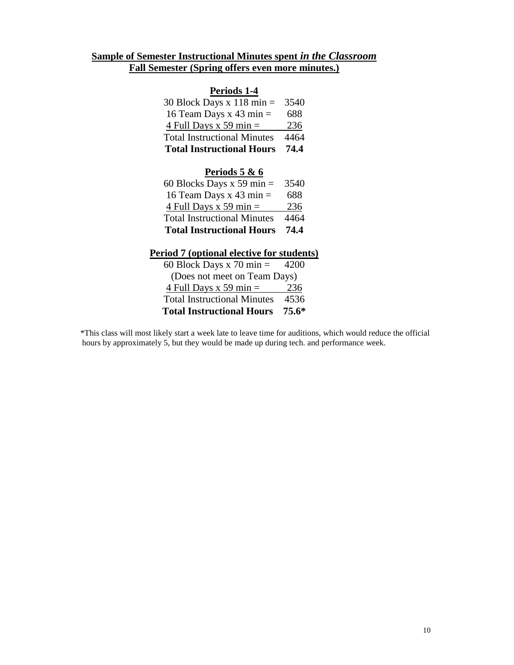### **Sample of Semester Instructional Minutes spent** *in the Classroom* **Fall Semester (Spring offers even more minutes.)**

#### **Periods 1-4**

| <b>Total Instructional Hours</b>    | 74.4 |
|-------------------------------------|------|
| <b>Total Instructional Minutes</b>  | 4464 |
| 4 Full Days x 59 min $=$            | 236  |
| 16 Team Days x 43 min $=$           | 688  |
| 30 Block Days x $118 \text{ min} =$ | 3540 |

#### **Periods 5 & 6**

| <b>Total Instructional Hours</b>   | 74.4 |
|------------------------------------|------|
| <b>Total Instructional Minutes</b> | 4464 |
| 4 Full Days x 59 min $=$           | 236  |
| 16 Team Days x 43 min $=$          | 688  |
| 60 Blocks Days x 59 min $=$        | 3540 |

#### **Period 7 (optional elective for students)**

| <b>Total Instructional Hours</b>   | $75.6*$ |
|------------------------------------|---------|
| <b>Total Instructional Minutes</b> | 4536    |
| 4 Full Days x 59 min $=$           | 236     |
| (Does not meet on Team Days)       |         |
| 60 Block Days x 70 min $=$         | 4200    |

 \*This class will most likely start a week late to leave time for auditions, which would reduce the official hours by approximately 5, but they would be made up during tech. and performance week.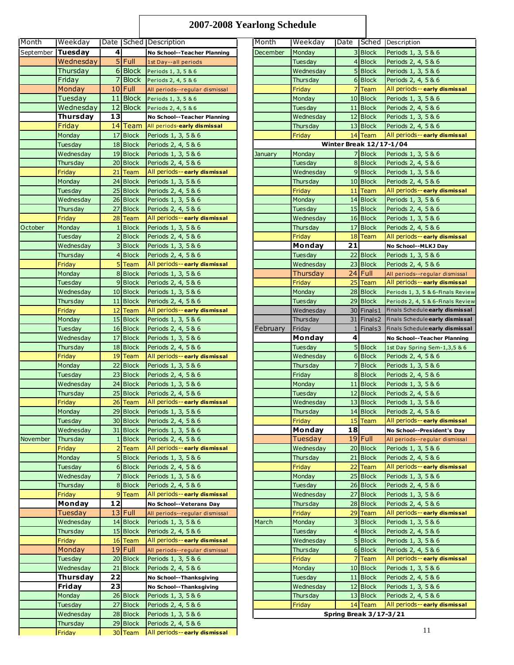# **2007-2008 Yearlong Schedule**

| Month             | Weekday              |                |                      | Date Sched Description                     | Month    | Weekday   |                |                                          | Date Sched Description                                |
|-------------------|----------------------|----------------|----------------------|--------------------------------------------|----------|-----------|----------------|------------------------------------------|-------------------------------------------------------|
| September Tuesday |                      | 4 <sup>1</sup> |                      | No School--Teacher Planning                | December | Monday    |                | 3 Block                                  | Periods 1, 3, 5 & 6                                   |
|                   | Wednesday            |                | $5$ Full             | 1st Day--all periods                       |          | Tuesday   |                | 4 Block                                  | Periods 2, 4, 5 & 6                                   |
|                   | Thursday             |                |                      | 6 Block Periods 1, 3, 5 & 6                |          | Wednesday |                | 5 Block                                  | Periods 1, 3, 5 & 6                                   |
|                   | Friday               |                |                      | 7 Block Periods 2, 4, 5 & 6                |          | Thursday  |                | 6 Block                                  | Periods 2, 4, 5 & 6                                   |
|                   | Monday               |                | $10$ Full            | All periods--regular dismissal             |          | Friday    |                | 7 Team                                   | All periods -- early dismissal                        |
|                   | Tuesday              |                | 11 Block             | Periods 1, 3, 5 & 6                        |          | Monday    |                | 10 Block                                 | Periods 1, 3, 5 & 6                                   |
|                   | Wednesday            |                | 12 Block             | Periods 2, 4, 5 & 6                        |          | Tuesday   |                | 11 Block                                 | Periods 2, 4, 5 & 6                                   |
|                   | Thursday             | 13             |                      | No School--Teacher Planning                |          | Wednesday |                | 12 Block                                 | Periods 1, 3, 5 & 6                                   |
|                   | Friday               |                |                      | 14 Team All periods-early dismissal        |          | Thursday  |                | 13 Block                                 | Periods 2, 4, 5 & 6                                   |
|                   | Monday               |                | 17 Block             | Periods 1, 3, 5 & 6                        |          | Friday    |                | 14 Team                                  | All periods -- early dismissal                        |
|                   | Tuesday              |                | 18 Block             | Periods 2, 4, 5 & 6                        |          |           |                | <b>Winter Break 12/17-1/04</b>           |                                                       |
|                   | Wednesday            |                | 19 Block             | Periods 1, 3, 5 & 6                        | January  | Monday    |                | 7 Block                                  | Periods 1, 3, 5 & 6                                   |
|                   | Thursday             |                | 20 Block             | Periods 2, 4, 5 & 6                        |          | Tuesday   |                | 8 Block                                  | Periods 2, 4, 5 & 6                                   |
|                   | Friday               |                | 21 Team              | All periods-- early dismissal              |          | Wednesday |                | $9$ Block                                | Periods 1, 3, 5 & 6                                   |
|                   | Monday               |                | 24 Block             | Periods 1, 3, 5 & 6                        |          | Thursday  |                | 10 Block                                 | Periods 2, 4, 5 & 6                                   |
|                   | Tuesday              |                | 25 Block             | Periods 2, 4, 5 & 6                        |          | Friday    |                | 11 Team                                  | All periods -- early dismissal                        |
|                   | Wednesday            |                | 26 Block             | Periods 1, 3, 5 & 6                        |          | Monday    |                | 14 Block                                 | Periods 1, 3, 5 & 6                                   |
|                   | Thursday             |                | 27 Block             | Periods 2, 4, 5 & 6                        |          | Tuesday   |                | 15 Block                                 | Periods 2, 4, 5 & 6                                   |
|                   | Friday               |                | 28 Team              | All periods-- early dismissal              |          | Wednesday |                | 16 Block                                 | Periods 1, 3, 5 & 6                                   |
| October           | Monday               |                | 1 Block              | Periods 1, 3, 5 & 6                        |          | Thursday  |                | 17 Block                                 | Periods 2, 4, 5 & 6                                   |
|                   | Tuesday              |                | 2 Block              | Periods 2, 4, 5 & 6                        |          | Friday    |                | 18 Team                                  | All periods -- early dismissal                        |
|                   | Wednesday            |                | 3 Block              | Periods 1, 3, 5 & 6                        |          | Monday    | 21             |                                          | No School--MLKJ Day                                   |
|                   | Thursday             |                | $4$ Block            | Periods 2, 4, 5 & 6                        |          | Tuesday   |                | 22 Block                                 | Periods 1, 3, 5 & 6                                   |
|                   | Friday               |                | 5 Team               | All periods-- early dismissal              |          | Wednesday |                | 23 Block                                 | Periods 2, 4, 5 & 6                                   |
|                   | Monday               |                | 8 Block              | Periods 1, 3, 5 & 6                        |          | Thursday  |                | $24$ Full                                | All periods--regular dismissal                        |
|                   | Tuesday              |                | 9Block               | Periods 2, 4, 5 & 6                        |          | Friday    |                | 25 Team                                  | All periods-- early dismissal                         |
|                   | Wednesday            |                | 10 Block             | Periods 1, 3, 5 & 6                        |          | Monday    |                | 28 Block                                 | Periods 1, 3, 5 & 6-Finals Revi                       |
|                   | Thursday             |                | 11 Block             | Periods 2, 4, 5 & 6                        |          | Tuesday   |                | 29 Block                                 | Periods 2, 4, 5 & 6-Finals Revi                       |
|                   | Friday               |                | 12 Team              | All periods-- early dismissal              |          | Wednesday |                | 30 Finals1                               | Finals Schedule early dismiss                         |
|                   | Monday               |                | 15 Block             | Periods 1, 3, 5 & 6                        |          | Thursday  |                | 31 Finals2                               | Finals Schedule early dismiss                         |
|                   | Tuesday              |                | 16 Block             | Periods 2, 4, 5 & 6                        | February | Friday    |                | 1   Finals 3                             | Finals Schedule early dismiss                         |
|                   | Wednesday            |                | 17 Block             | Periods 1, 3, 5 & 6                        |          | Monday    | $\overline{4}$ |                                          | No School--Teacher Planning                           |
|                   | Thursday             |                | 18 Block             | Periods 2, 4, 5 & 6                        |          | Tuesday   |                | 5 Block                                  | 1st Day Spring Sem-1,3,5 & 6                          |
|                   | Friday               |                | 19 Team              | All periods-- early dismissal              |          | Wednesday |                | 6 Block                                  | Periods 2, 4, 5 & 6                                   |
|                   | Monday               |                | 22 Block             | Periods 1, 3, 5 & 6                        |          | Thursday  |                | 7 Block                                  | Periods 1, 3, 5 & 6                                   |
|                   | Tuesday              |                | 23 Block             | Periods 2, 4, 5 & 6                        |          | Friday    |                | 8 Block                                  | Periods 2, 4, 5 & 6                                   |
|                   | Wednesday            |                | 24 Block             | Periods 1, 3, 5 & 6                        |          | Monday    |                | 11 Block                                 | Periods 1, 3, 5 & 6                                   |
|                   | Thursday             |                | 25 Block             | Periods 2, 4, 5 & 6                        |          | Tuesday   |                | 12 Block                                 | Periods 2, 4, 5 & 6                                   |
|                   | Friday               |                | $26$ Team            | All periods-- early dismissal              |          | Wednesday |                | 13 Block                                 | Periods 1, 3, 5 & 6                                   |
|                   | Monday               |                | $29$ Block           | Periods $1, 3, 586$                        |          | Thursdav  |                | 14 Block                                 | Periods 2, 4, 5 & 6                                   |
|                   | Tuesday              |                | 30 Block             | Periods 2, 4, 5 & 6                        |          | Friday    |                | 15 Team                                  | All periods -- early dismissal                        |
|                   | Wednesday            |                | 31 Block             | Periods 1, 3, 5 & 6                        |          | Monday    | 18             |                                          | No School--President's Day                            |
| November          | Thursday             |                | 1 Block              | Periods 2, 4, 5 & 6                        |          | Tuesday   |                | $19$ Full                                | All periods--regular dismissal                        |
|                   | Friday               |                | $2$ Team             | All periods-- early dismissal              |          | Wednesday |                | 20 Block                                 | Periods 1, 3, 5 & 6                                   |
|                   | Monday               |                | 5Block               | Periods 1, 3, 5 & 6                        |          | Thursday  |                | 21 Block                                 | Periods 2, 4, 5 & 6                                   |
|                   | Tuesday              |                | 6Block               | Periods 2, 4, 5 & 6                        |          | Friday    |                | 22 Team                                  | All periods -- early dismissal                        |
|                   | Wednesday            |                | 7 Block              | Periods 1, 3, 5 & 6                        |          | Monday    |                | 25 Block                                 | Periods 1, 3, 5 & 6                                   |
|                   | Thursday             |                | 8 Block              | Periods 2, 4, 5 & 6                        |          | Tuesday   |                | 26 Block                                 | Periods 2, 4, 5 & 6                                   |
|                   | Friday               |                | 9 <sup>Team</sup>    | All periods-- early dismissal              |          | Wednesday |                | 27 Block                                 | Periods 1, 3, 5 & 6                                   |
|                   | Monday               | 12             |                      | No School--Veterans Day                    |          | Thursday  |                | 28 Block                                 | Periods 2, 4, 5 & 6                                   |
|                   | Tuesday              |                | $13$ Full            | All periods--regular dismissal             |          | Friday    |                | 29 Team                                  | All periods-- early dismissal                         |
|                   | Wednesday            |                | 14 Block             | Periods 1, 3, 5 & 6                        | March    | Monday    |                | 3 Block                                  | Periods 1, 3, 5 & 6                                   |
|                   | Thursday             |                | 15 Block             | Periods 2, 4, 5 & 6                        |          | Tuesday   |                | 4 Block                                  | Periods 2, 4, 5 & 6                                   |
|                   | Friday               |                | 16 Team              | All periods-- early dismissal              |          | Wednesday |                | 5 Block                                  | Periods 1, 3, 5 & 6                                   |
|                   | Monday               |                | $19$ Full            | All periods--regular dismissal             |          | Thursday  |                | 6 Block                                  | Periods 2, 4, 5 & 6                                   |
|                   | Tuesday              |                | 20 Block             | Periods 1, 3, 5 & 6                        |          | Friday    |                | 7 Team                                   | All periods-- early dismissal                         |
|                   | Wednesday            |                | 21 Block             | Periods 2, 4, 5 & 6                        |          | Monday    |                | 10 Block                                 | Periods 1, 3, 5 & 6                                   |
|                   | <b>Thursday</b>      | 22             |                      | No School--Thanksgiving                    |          | Tuesday   |                | 11 Block                                 | Periods 2, 4, 5 & 6                                   |
|                   | Friday               | 23             |                      | No School--Thanksgiving                    |          | Wednesday |                | 12 Block                                 | Periods 1, 3, 5 & 6                                   |
|                   | Monday               |                | 26 Block             | Periods 1, 3, 5 & 6                        |          | Thursday  |                | 13 Block                                 | Periods 2, 4, 5 & 6<br>All periods -- early dismissal |
|                   | Tuesday<br>Wednesday |                | 27 Block             | Periods 2, 4, 5 & 6                        |          | Friday    |                | 14 Team<br><b>Spring Break 3/17-3/21</b> |                                                       |
|                   | Thursday             |                | 28 Block<br>29 Block | Periods 1, 3, 5 & 6<br>Periods 2, 4, 5 & 6 |          |           |                |                                          |                                                       |
|                   | Friday               |                | 30 Team              | All periods -- early dismissal             |          |           |                |                                          | 11                                                    |
|                   |                      |                |                      |                                            |          |           |                |                                          |                                                       |

| Weekday              |    |                   | Date Sched Description                         | Month    | Weekday          |                         |                                | Date Sched Description                                               |
|----------------------|----|-------------------|------------------------------------------------|----------|------------------|-------------------------|--------------------------------|----------------------------------------------------------------------|
| <b>Tuesday</b>       | 4  |                   | No School--Teacher Planning                    | December | Monday           |                         | 3 Block                        | Periods 1, 3, 5 & 6                                                  |
| Wednesday            |    | $5$ Full          | 1st Day--all periods                           |          | Tuesday          |                         | 4 Block                        | Periods 2, 4, 5 & 6                                                  |
| Thursday             |    | 6 Block           | Periods 1, 3, 5 & 6                            |          | Wednesday        |                         | 5 Block                        | Periods 1, 3, 5 & 6                                                  |
| Friday               | 7  | Block             | Periods 2, 4, 5 & 6                            |          | Thursday         |                         | 6 Block                        | Periods 2, 4, 5 & 6                                                  |
| Monday               |    | 10 Full           | All periods--regular dismissal                 |          | Friday           | $\overline{7}$          | Team                           | All periods-- early dismissal                                        |
| Tuesday              |    | 11 Block          | Periods 1, 3, 5 & 6                            |          | Monday           |                         | 10 Block                       | Periods 1, 3, 5 & 6                                                  |
| Wednesday            |    | 12 Block          | Periods 2, 4, 5 & 6                            |          | Tuesday          |                         | 11 Block                       | Periods 2, 4, 5 & 6                                                  |
| Thursday             | 13 |                   | No School--Teacher Planning                    |          | Wednesday        |                         | 12 Block                       | Periods 1, 3, 5 & 6                                                  |
| Friday               |    | 14 Team           | All periods-early dismissal                    |          | Thursday         |                         | 13 Block                       | Periods 2, 4, 5 & 6                                                  |
| Monday               |    | 17 Block          | Periods 1, 3, 5 & 6                            |          | Friday           |                         | 14 Team                        | All periods-- early dismissal                                        |
| Tuesday              |    | 18 Block          | Periods 2, 4, 5 & 6                            |          |                  |                         | <b>Winter Break 12/17-1/04</b> |                                                                      |
| Wednesday            |    | 19 Block          | Periods 1, 3, 5 & 6                            | January  | Monday           |                         | 7 Block                        | Periods 1, 3, 5 & 6                                                  |
| Thursday             |    | 20 Block          | Periods 2, 4, 5 & 6                            |          | Tuesday          |                         | 8 Block                        | Periods 2, 4, 5 & 6                                                  |
| Friday               |    | 21 Team           | All periods-- early dismissal                  |          | Wednesday        |                         | 9Block                         | Periods 1, 3, 5 & 6                                                  |
| Monday               |    | 24 Block          | Periods 1, 3, 5 & 6                            |          | Thursday         |                         | 10 Block                       | Periods 2, 4, 5 & 6                                                  |
| <b>Tuesday</b>       |    | 25 Block          | Periods 2, 4, 5 & 6                            |          | Friday           |                         | 11 Team                        | All periods -- early dismissal                                       |
| Wednesday            |    | 26 Block          | Periods 1, 3, 5 & 6                            |          | Monday           |                         | 14 Block                       | Periods 1, 3, 5 & 6                                                  |
| Thursday             |    | 27 Block          | Periods 2, 4, 5 & 6                            |          | Tuesday          |                         | 15 Block                       | Periods 2, 4, 5 & 6                                                  |
| Friday               |    | 28 Team           | All periods-- early dismissal                  |          | Wednesday        |                         | $16$ Block                     | Periods 1, 3, 5 & 6                                                  |
| Monday               |    | 1 Block           | Periods 1, 3, 5 & 6                            |          | Thursday         |                         | 17 Block                       | Periods 2, 4, 5 & 6                                                  |
| Tuesday              |    | 2 Block           | Periods 2, 4, 5 & 6                            |          | Friday           | 18                      | Team                           | All periods -- early dismissal                                       |
| Wednesday            |    | 3 Block           | Periods 1, 3, 5 & 6                            |          | Monday           | 21                      |                                | No School--MLKJ Day                                                  |
| Thursday             |    | 4 Block           | Periods 2, 4, 5 & 6                            |          | Tuesday          |                         | 22 Block                       | Periods 1, 3, 5 & 6                                                  |
| Friday               |    | 5 <sup>Team</sup> | All periods--early dismissal                   |          | Wednesday        |                         | 23 Block                       | Periods 2, 4, 5 & 6                                                  |
| Monday               |    | 8 Block           | Periods 1, 3, 5 & 6                            |          | Thursday         |                         | $24$ Full                      | All periods--regular dismissal                                       |
| Tuesday              |    | 9Block            | Periods 2, 4, 5 & 6                            |          | Friday           |                         | 25 Team                        | All periods-- early dismissal                                        |
| Wednesday            |    | 10 Block          | Periods 1, 3, 5 & 6                            |          | Monday           |                         | 28 Block                       | Periods 1, 3, 5 & 6-Finals Review                                    |
| Thursday             |    | 11 Block          | Periods 2, 4, 5 & 6                            |          | Tuesday          |                         | 29 Block                       |                                                                      |
| Friday               |    | 12 Team           | All periods--early dismissal                   |          | Wednesday        |                         | 30 Finals 1                    | Periods 2, 4, 5 & 6-Finals Review<br>Finals Schedule early dismissal |
|                      |    | 15 Block          |                                                |          | Thursday         |                         |                                | 31 Finals2 Finals Schedule early dismissal                           |
| Monday<br>Tuesday    |    | 16 Block          | Periods 1, 3, 5 & 6<br>Periods 2, 4, 5 & 6     | February | Friday           | $\mathbf{1}$            | Finals3                        | Finals Schedule early dismissal                                      |
| Wednesday            |    | 17 Block          |                                                |          | Monday           | $\overline{\mathbf{4}}$ |                                |                                                                      |
| Thursday             |    | 18 Block          | Periods 1, 3, 5 & 6<br>Periods 2, 4, 5 & 6     |          | Tuesday          |                         | 5 Block                        | No School--Teacher Planning                                          |
|                      |    | 19 Team           | All periods--early dismissal                   |          | Wednesday        |                         | 6 Block                        | 1st Day Spring Sem-1,3,5 & 6<br>Periods 2, 4, 5 & 6                  |
| Friday               |    | 22 Block          |                                                |          |                  | 7                       | <b>Block</b>                   |                                                                      |
| Monday               |    | 23 Block          | Periods 1, 3, 5 & 6                            |          | Thursday         |                         | 8 Block                        | Periods 1, 3, 5 & 6<br>Periods 2, 4, 5 & 6                           |
| Tuesday<br>Wednesday |    | 24 Block          | Periods 2, 4, 5 & 6                            |          | Friday<br>Monday |                         | 11 Block                       |                                                                      |
| Thursday             |    | 25 Block          | Periods 1, 3, 5 & 6<br>Periods 2, 4, 5 & 6     |          | Tuesday          |                         | 12 Block                       | Periods 1, 3, 5 & 6<br>Periods 2, 4, 5 & 6                           |
| Friday               |    | 26 Team           | All periods--early dismissal                   |          | Wednesday        |                         | 13 Block                       | Periods 1, 3, 5 & 6                                                  |
| Monday               |    | 29 Block          | Periods 1, 3, 5 & 6                            |          | Thursday         |                         | $14$ Block                     | Periods 2, 4, 5 & 6                                                  |
| Tuesday              |    | 30 Block          | Periods 2, 4, 5 & 6                            |          | Friday           |                         | 15 Team                        | All periods -- early dismissal                                       |
| Wednesday            |    | 31 Block          | Periods 1, 3, 5 & 6                            |          | Monday           | 18                      |                                | No School--President's Day                                           |
| Thursday             |    | 1 Block           | Periods 2, 4, 5 & 6                            |          | Tuesday          |                         | $19$ Full                      | All periods--regular dismissal                                       |
| Friday               |    | $2$ Team          | All periods--early dismissal                   |          | Wednesday        |                         | 20 Block                       | Periods 1, 3, 5 & 6                                                  |
| Monday               |    | 5Block            | Periods 1, 3, 5 & 6                            |          | Thursday         |                         | 21 Block                       | Periods 2, 4, 5 & 6                                                  |
| Tuesday              |    | 6Block            | Periods 2, 4, 5 & 6                            |          | Friday           | 22                      | Team                           | All periods-- early dismissal                                        |
| Wednesday            |    | 7 Block           | Periods 1, 3, 5 & 6                            |          | Monday           |                         | 25 Block                       | Periods 1, 3, 5 & 6                                                  |
| <b>Thursday</b>      |    | 8 Block           | Periods 2, 4, 5 & 6                            |          | <b>Tuesday</b>   |                         | 26 Block                       | Periods 2, 4, 5 & 6                                                  |
| Friday               |    | 9 Team            | All periods-- early dismissal                  |          | Wednesday        |                         | 27 Block                       | Periods 1, 3, 5 & 6                                                  |
| Monday               | 12 |                   | No School--Veterans Day                        |          | Thursday         |                         | 28 Block                       | Periods 2, 4, 5 & 6                                                  |
| Tuesday              |    | 13 Full           | All periods--regular dismissal                 |          | Friday           |                         | 29 Team                        | All periods -- early dismissal                                       |
| Wednesday            |    | 14 Block          | Periods 1, 3, 5 & 6                            | March    | Monday           |                         | 3 Block                        | Periods 1, 3, 5 & 6                                                  |
| Thursday             |    | 15 Block          | Periods 2, 4, 5 & 6                            |          | Tuesday          |                         | 4 Block                        | Periods 2, 4, 5 & 6                                                  |
| Friday               |    | 16 Team           | All periods--early dismissal                   |          | Wednesday        |                         | 5 Block                        | Periods 1, 3, 5 & 6                                                  |
| Monday               |    | $19$ Full         | All periods--regular dismissal                 |          | Thursday         |                         | 6 Block                        | Periods 2, 4, 5 & 6                                                  |
| Tuesday              |    | 20 Block          | Periods 1, 3, 5 & 6                            |          | Friday           | 7                       | Team                           | All periods -- early dismissal                                       |
| Wednesday            | 21 | <b>Block</b>      | Periods 2, 4, 5 & 6                            |          | Monday           |                         | 10 Block                       | Periods 1, 3, 5 & 6                                                  |
| Thursday             | 22 |                   | No School--Thanksgiving                        |          | Tuesday          |                         | 11 Block                       | Periods 2, 4, 5 & 6                                                  |
| Friday               | 23 |                   |                                                |          | Wednesday        |                         | 12 Block                       | Periods 1, 3, 5 & 6                                                  |
| Monday               |    | 26 Block          | No School--Thanksgiving<br>Periods 1, 3, 5 & 6 |          | Thursday         |                         | 13 Block                       | Periods 2, 4, 5 & 6                                                  |
|                      |    |                   |                                                |          |                  |                         |                                | All periods -- early dismissal                                       |
| Tuesday              |    | 27 Block          | Periods 2, 4, 5 & 6                            |          | Friday           |                         | 14 Team                        |                                                                      |
| Wednesday            |    | 28 Block          | Periods 1, 3, 5 & 6                            |          |                  |                         | <b>Spring Break 3/17-3/21</b>  |                                                                      |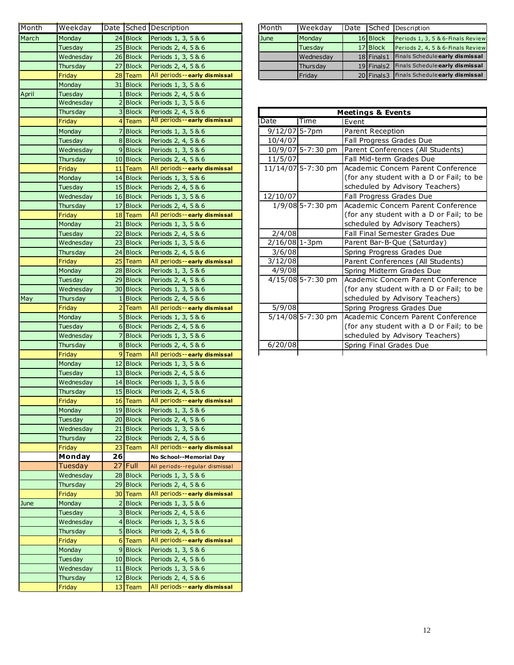| Month | Weekday   |    |             | Date Sched Description         | Month           | Weekday            |       |                              | Date Sched Description   |
|-------|-----------|----|-------------|--------------------------------|-----------------|--------------------|-------|------------------------------|--------------------------|
| March | Mondav    |    | $24$ Block  | Periods 1, 3, 5 & 6            | June            | Monday             |       | 16 Block                     | Periods 1, 3,            |
|       | Tuesday   |    | $25$ Block  | Periods 2, 4, 5 & 6            |                 | Tuesday            |       | 17 Block                     | Periods 2, 4,            |
|       | Wednesday |    | 26 Block    | Periods 1, 3, 5 & 6            |                 | Wednesday          |       | $18$ Finals 1                | <b>Finals Sched</b>      |
|       | Thursday  |    | 27 Block    | Periods 2, 4, 5 & 6            |                 | Thursday           |       | $19$ Finals2                 | <b>Finals Sched</b>      |
|       | Friday    |    | 28 Team     | All periods--early dismissal   |                 | Friday             |       | 20 Finals3                   | <b>Finals Sched</b>      |
|       | Monday    |    | 31 Block    | Periods 1, 3, 5 & 6            |                 |                    |       |                              |                          |
| April | Tuesday   |    | 1Block      | Periods 2, 4, 5 & 6            |                 |                    |       |                              |                          |
|       | Wednesday |    | $2$ Block   | Periods 1, 3, 5 & 6            |                 |                    |       |                              |                          |
|       | Thursday  |    | 3 Block     | Periods 2, 4, 5 & 6            |                 |                    |       | <b>Meetings &amp; Events</b> |                          |
|       | Friday    |    | $4$ Team    | All periods--early dismissal   | Date            | Time               | Event |                              |                          |
|       | Monday    |    | 7 Block     | Periods 1, 3, 5 & 6            | $9/12/07$ 5-7pm |                    |       | Parent Reception             |                          |
|       | Tuesday   |    | 8 Block     | Periods 2, 4, 5 & 6            | 10/4/07         |                    |       |                              | Fall Progress Grades Due |
|       | Wednesday |    | $9$ Block   | Periods 1, 3, 5 & 6            |                 | 10/9/07 5-7:30 pm  |       |                              | Parent Conferences (All  |
|       | Thursday  |    | $10$ Block  | Periods 2, 4, 5 & 6            | 11/5/07         |                    |       |                              | Fall Mid-term Grades Du  |
|       | Friday    |    | 11 Team     | All periods--early dismissal   |                 | 11/14/07 5-7:30 pm |       |                              | Academic Concern Parer   |
|       | Monday    |    | 14 Block    | Periods 1, 3, 5 & 6            |                 |                    |       |                              | (for any student with a  |
|       | Tuesday   |    | 15 Block    | Periods 2, 4, 5 & 6            |                 |                    |       |                              | scheduled by Advisory T  |
|       | Wednesday |    | $16$ Block  | Periods 1, 3, 5 & 6            | 12/10/07        |                    |       |                              | Fall Progress Grades Due |
|       | Thursday  |    | 17 Block    | Periods 2, 4, 5 & 6            |                 | 1/9/08 5-7:30 pm   |       |                              | lAcademic Concern Parer  |
|       | Friday    |    | 18 Team     | All periods--early dismissal   |                 |                    |       |                              | (for any student with a  |
|       | Monday    |    | 21 Block    | Periods 1, 3, 5 & 6            |                 |                    |       |                              | scheduled by Advisory T  |
|       | Tuesday   |    | $22$ Block  | Periods 2, 4, 5 & 6            | 2/4/08          |                    |       |                              | Fall Final Semester Grad |
|       | Wednesday |    | 23 Block    | Periods 1, 3, 5 & 6            | $2/16/08$ 1-3pm |                    |       |                              | Parent Bar-B-Que (Satur  |
|       | Thursday  |    | 24 Block    | Periods 2, 4, 5 & 6            | 3/6/08          |                    |       |                              | Spring Progress Grades I |
|       | Friday    |    | $25$ Team   | All periods--early dismissal   | 3/12/08         |                    |       |                              | Parent Conferences (All  |
|       | Monday    |    | $28$ Block  | Periods 1, 3, 5 & 6            | 4/9/08          |                    |       |                              | Spring Midterm Grades I  |
|       | Tuesday   |    | 29 Block    | Periods 2, 4, 5 & 6            |                 | 4/15/08 5-7:30 pm  |       |                              | Academic Concern Parer   |
|       | Wednesday |    | 30 Block    | Periods 1, 3, 5 & 6            |                 |                    |       |                              | (for any student with a  |
| May   | Thursday  |    | 1 Block     | Periods 2, 4, 5 & 6            |                 |                    |       |                              | scheduled by Advisory T  |
|       | Friday    |    | $2$ Team    | All periods--early dismissal   | 5/9/08          |                    |       |                              | Spring Progress Grades I |
|       | Monday    |    | 5 Block     | Periods 1, 3, 5 & 6            |                 | 5/14/08 5-7:30 pm  |       |                              | Academic Concern Parer   |
|       | Tuesday   |    | 6 Block     | Periods 2, 4, 5 & 6            |                 |                    |       |                              | (for any student with a  |
|       | Wednesday |    | 7Block      | Periods 1, 3, 5 & 6            |                 |                    |       |                              | scheduled by Advisory T  |
|       | Thursday  |    | 8Block      | Periods 2, 4, 5 & 6            | 6/20/08         |                    |       |                              | Spring Final Grades Due  |
|       | Friday    |    | $9$ Team    | All periods--early dismissal   |                 |                    |       |                              |                          |
|       | Monday    |    | 12 Block    | Periods 1, 3, 5 & 6            |                 |                    |       |                              |                          |
|       | Tuesday   |    | $13$ Block  | Periods 2, 4, 5 & 6            |                 |                    |       |                              |                          |
|       | Wednesday |    | $14$ Block  | Periods 1, 3, 5 & 6            |                 |                    |       |                              |                          |
|       | Thursday  |    | 15 Block    | Periods 2, 4, 5 & 6            |                 |                    |       |                              |                          |
|       | Friday    |    | 16 Team     | All periods--early dismissal   |                 |                    |       |                              |                          |
|       | Monday    |    | 19 Block    | Periods 1, 3, 5 & 6            |                 |                    |       |                              |                          |
|       | Tuesday   |    | 20 Block    | Periods 2, 4, 5 & 6            |                 |                    |       |                              |                          |
|       | Wednesday |    | 21 Block    | Periods 1, 3, 5 & 6            |                 |                    |       |                              |                          |
|       | Thursday  |    | 22 Block    | Periods 2, 4, 5 & 6            |                 |                    |       |                              |                          |
|       | Friday    |    | 23 Team     | All periods--early dismissal   |                 |                    |       |                              |                          |
|       | Monday    | 26 |             | No School--Memorial Day        |                 |                    |       |                              |                          |
|       | Tuesday   |    | $27$ Full   | All periods--regular dismissal |                 |                    |       |                              |                          |
|       | Wednesday |    | 28 Block    | Periods 1, 3, 5 & 6            |                 |                    |       |                              |                          |
|       | Thursday  |    | 29 Block    | Periods 2, 4, 5 & 6            |                 |                    |       |                              |                          |
|       | Friday    |    | 30 Team     | All periods--early dismissal   |                 |                    |       |                              |                          |
| June  | Monday    |    | 2 Block     | Periods 1, 3, 5 & 6            |                 |                    |       |                              |                          |
|       | Tuesday   |    | 3 Block     | Periods 2, 4, 5 & 6            |                 |                    |       |                              |                          |
|       | Wednesday |    | 4Block      | Periods 1, 3, 5 & 6            |                 |                    |       |                              |                          |
|       | Thursday  |    | 5 Block     | Periods 2, 4, 5 & 6            |                 |                    |       |                              |                          |
|       | Friday    |    | $6$ Team    | All periods--early dismissal   |                 |                    |       |                              |                          |
|       | Monday    |    | 9 Block     | Periods 1, 3, 5 & 6            |                 |                    |       |                              |                          |
|       | Tuesday   |    | $10$  Block | Periods 2, 4, 5 & 6            |                 |                    |       |                              |                          |
|       | Wednesday |    | 11 Block    | Periods 1, 3, 5 & 6            |                 |                    |       |                              |                          |
|       | Thursday  |    | 12 Block    | Periods 2, 4, 5 & 6            |                 |                    |       |                              |                          |
|       | Friday    |    | $13$ Team   | All periods--early dismissal   |                 |                    |       |                              |                          |
|       |           |    |             |                                |                 |                    |       |                              |                          |

| Month | <b>I</b> Weekdav |          | Date Sched Description         | l Month     | <b>I</b> Weekdav   |          | Date Sched Description                      |
|-------|------------------|----------|--------------------------------|-------------|--------------------|----------|---------------------------------------------|
| March | <b>I</b> Monday  | 24 Block | <b>Periods 1, 3, 5 &amp; 6</b> | <b>June</b> | <b>I</b> Monday    | 16 Block | Periods 1, 3, 5 & 6-Finals Review           |
|       | Tuesday          | 25 Block | <b>Periods 2, 4, 5 &amp; 6</b> |             | <b>I</b> Tuesdav   | 17 Block | Periods 2, 4, 5 & 6-Finals Review           |
|       | <b>Wednesdav</b> |          | $26$ Block Periods 1, 3, 5 & 6 |             | <b>I</b> Wednesdav |          | 18 Finals1 Finals Schedule early dismissal  |
|       | Thursdav         | 27 Block | <b>Periods 2, 4, 5 &amp; 6</b> |             | <b>Thursdav</b>    |          | 19 Finals2 Finals Schedule early dismissal  |
|       | Fridav           | 28 Team  | All periods--early dismissal   |             | <b>IFridav</b>     |          | 20 Finals 3 Finals Schedule early dismissal |
|       |                  |          |                                |             |                    |          |                                             |

| Thursday  | 3 Block           | Periods 2, 4, 5 & 6            | <b>Meetings &amp; Events</b> |                     |                                                       |  |  |  |  |
|-----------|-------------------|--------------------------------|------------------------------|---------------------|-------------------------------------------------------|--|--|--|--|
| Friday    | 4 Team            | All periods--early dismissal   | Date                         | Time                | Event                                                 |  |  |  |  |
| Monday    | 7Block            | Periods 1, 3, 5 & 6            | $9/12/07$ 5-7pm              |                     | Parent Reception                                      |  |  |  |  |
| Tuesday   | 8Block            | Periods 2, 4, 5 & 6            | 10/4/07                      |                     | Fall Progress Grades Due                              |  |  |  |  |
| Wednesday | 9 Block           | Periods 1, 3, 5 & 6            |                              | 10/9/07 5-7:30 pm   | Parent Conferences (All Students)                     |  |  |  |  |
| Thursday  | 10 Block          | Periods 2, 4, 5 & 6            | 11/5/07                      |                     | Fall Mid-term Grades Due                              |  |  |  |  |
| Friday    | $11$ Team         | All periods--early dismissal   |                              |                     | 11/14/07 5-7:30 pm Academic Concern Parent Conference |  |  |  |  |
| Monday    | $14$ Block        | Periods 1, 3, 5 & 6            |                              |                     | (for any student with a D or Fail; to be              |  |  |  |  |
| Tuesday   | 15 Block          | Periods 2, 4, 5 & 6            |                              |                     | scheduled by Advisory Teachers)                       |  |  |  |  |
| Wednesday | $16$ Block        | Periods 1, 3, 5 & 6            | 12/10/07                     |                     | Fall Progress Grades Due                              |  |  |  |  |
| Thursday  | $17$ Block        | Periods 2, 4, 5 & 6            |                              | 1/9/08 5-7:30 pm    | Academic Concern Parent Conference                    |  |  |  |  |
| Friday    | 18 Team           | All periods--early dismissal   |                              |                     | (for any student with a D or Fail; to be              |  |  |  |  |
| Monday    | $21$ Block        | Periods 1, 3, 5 & 6            |                              |                     | scheduled by Advisory Teachers)                       |  |  |  |  |
| Tuesday   | 22 Block          | Periods 2, 4, 5 & 6            | 2/4/08                       |                     | Fall Final Semester Grades Due                        |  |  |  |  |
| Wednesday | $23$ Block        | Periods 1, 3, 5 & 6            | 2/16/08 1-3pm                |                     | Parent Bar-B-Que (Saturday)                           |  |  |  |  |
| Thursday  | $24$ Block        | Periods 2, 4, 5 & 6            | 3/6/08                       |                     | Spring Progress Grades Due                            |  |  |  |  |
| Friday    | $25$ Team         | All periods--early dismissal   | 3/12/08                      |                     | Parent Conferences (All Students)                     |  |  |  |  |
| Monday    | $28$ Block        | Periods 1, 3, 5 & 6            | 4/9/08                       |                     | Spring Midterm Grades Due                             |  |  |  |  |
| Tuesday   | $29$ Block        | Periods 2, 4, 5 & 6            |                              | $4/15/08$ 5-7:30 pm | Academic Concern Parent Conference                    |  |  |  |  |
| Wednesday | 30 Block          | Periods 1, 3, 5 & 6            |                              |                     | (for any student with a D or Fail; to be              |  |  |  |  |
| Thursday  | 1 Block           | Periods 2, 4, 5 & 6            |                              |                     | scheduled by Advisory Teachers)                       |  |  |  |  |
| Friday    | $2$ Team          | All periods -- early dismissal | 5/9/08                       |                     | Spring Progress Grades Due                            |  |  |  |  |
| Monday    | 5 Block           | Periods 1, 3, 5 & 6            |                              | 5/14/08 5-7:30 pm   | Academic Concern Parent Conference                    |  |  |  |  |
| Tuesday   | 6Block            | Periods 2, 4, 5 & 6            |                              |                     | (for any student with a D or Fail; to be              |  |  |  |  |
| Wednesday | Block             | Periods 1, 3, 5 & 6            |                              |                     | scheduled by Advisory Teachers)                       |  |  |  |  |
| Thursday  | 8Block            | Periods 2, 4, 5 & 6            | 6/20/08                      |                     | Spring Final Grades Due                               |  |  |  |  |
| Fridav    | 9 <sub>Team</sub> | All periods--early dismissal   |                              |                     |                                                       |  |  |  |  |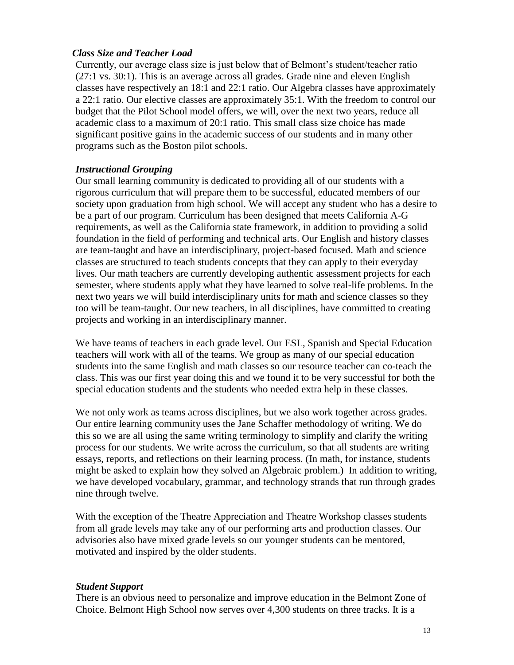#### *Class Size and Teacher Load*

Currently, our average class size is just below that of Belmont's student/teacher ratio (27:1 vs. 30:1). This is an average across all grades. Grade nine and eleven English classes have respectively an 18:1 and 22:1 ratio. Our Algebra classes have approximately a 22:1 ratio. Our elective classes are approximately 35:1. With the freedom to control our budget that the Pilot School model offers, we will, over the next two years, reduce all academic class to a maximum of 20:1 ratio. This small class size choice has made significant positive gains in the academic success of our students and in many other programs such as the Boston pilot schools.

#### *Instructional Grouping*

Our small learning community is dedicated to providing all of our students with a rigorous curriculum that will prepare them to be successful, educated members of our society upon graduation from high school. We will accept any student who has a desire to be a part of our program. Curriculum has been designed that meets California A-G requirements, as well as the California state framework, in addition to providing a solid foundation in the field of performing and technical arts. Our English and history classes are team-taught and have an interdisciplinary, project-based focused. Math and science classes are structured to teach students concepts that they can apply to their everyday lives. Our math teachers are currently developing authentic assessment projects for each semester, where students apply what they have learned to solve real-life problems. In the next two years we will build interdisciplinary units for math and science classes so they too will be team-taught. Our new teachers, in all disciplines, have committed to creating projects and working in an interdisciplinary manner.

We have teams of teachers in each grade level. Our ESL, Spanish and Special Education teachers will work with all of the teams. We group as many of our special education students into the same English and math classes so our resource teacher can co-teach the class. This was our first year doing this and we found it to be very successful for both the special education students and the students who needed extra help in these classes.

We not only work as teams across disciplines, but we also work together across grades. Our entire learning community uses the Jane Schaffer methodology of writing. We do this so we are all using the same writing terminology to simplify and clarify the writing process for our students. We write across the curriculum, so that all students are writing essays, reports, and reflections on their learning process. (In math, for instance, students might be asked to explain how they solved an Algebraic problem.) In addition to writing, we have developed vocabulary, grammar, and technology strands that run through grades nine through twelve.

With the exception of the Theatre Appreciation and Theatre Workshop classes students from all grade levels may take any of our performing arts and production classes. Our advisories also have mixed grade levels so our younger students can be mentored, motivated and inspired by the older students.

### *Student Support*

There is an obvious need to personalize and improve education in the Belmont Zone of Choice. Belmont High School now serves over 4,300 students on three tracks. It is a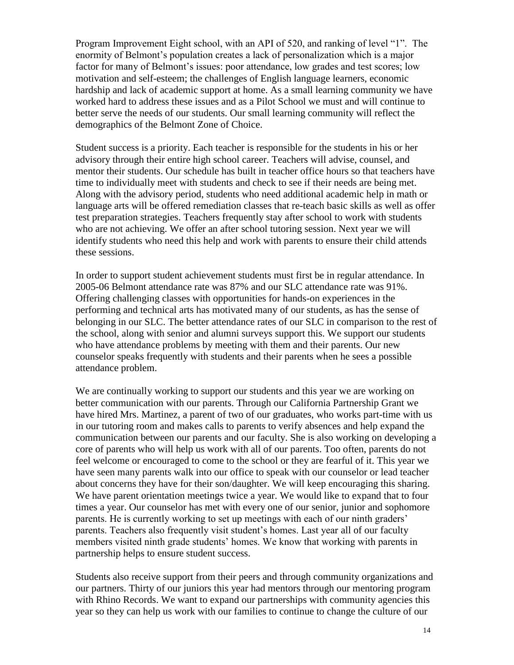Program Improvement Eight school, with an API of 520, and ranking of level "1". The enormity of Belmont's population creates a lack of personalization which is a major factor for many of Belmont's issues: poor attendance, low grades and test scores; low motivation and self-esteem; the challenges of English language learners, economic hardship and lack of academic support at home. As a small learning community we have worked hard to address these issues and as a Pilot School we must and will continue to better serve the needs of our students. Our small learning community will reflect the demographics of the Belmont Zone of Choice.

Student success is a priority. Each teacher is responsible for the students in his or her advisory through their entire high school career. Teachers will advise, counsel, and mentor their students. Our schedule has built in teacher office hours so that teachers have time to individually meet with students and check to see if their needs are being met. Along with the advisory period, students who need additional academic help in math or language arts will be offered remediation classes that re-teach basic skills as well as offer test preparation strategies. Teachers frequently stay after school to work with students who are not achieving. We offer an after school tutoring session. Next year we will identify students who need this help and work with parents to ensure their child attends these sessions.

In order to support student achievement students must first be in regular attendance. In 2005-06 Belmont attendance rate was 87% and our SLC attendance rate was 91%. Offering challenging classes with opportunities for hands-on experiences in the performing and technical arts has motivated many of our students, as has the sense of belonging in our SLC. The better attendance rates of our SLC in comparison to the rest of the school, along with senior and alumni surveys support this. We support our students who have attendance problems by meeting with them and their parents. Our new counselor speaks frequently with students and their parents when he sees a possible attendance problem.

We are continually working to support our students and this year we are working on better communication with our parents. Through our California Partnership Grant we have hired Mrs. Martinez, a parent of two of our graduates, who works part-time with us in our tutoring room and makes calls to parents to verify absences and help expand the communication between our parents and our faculty. She is also working on developing a core of parents who will help us work with all of our parents. Too often, parents do not feel welcome or encouraged to come to the school or they are fearful of it. This year we have seen many parents walk into our office to speak with our counselor or lead teacher about concerns they have for their son/daughter. We will keep encouraging this sharing. We have parent orientation meetings twice a year. We would like to expand that to four times a year. Our counselor has met with every one of our senior, junior and sophomore parents. He is currently working to set up meetings with each of our ninth graders' parents. Teachers also frequently visit student's homes. Last year all of our faculty members visited ninth grade students' homes. We know that working with parents in partnership helps to ensure student success.

Students also receive support from their peers and through community organizations and our partners. Thirty of our juniors this year had mentors through our mentoring program with Rhino Records. We want to expand our partnerships with community agencies this year so they can help us work with our families to continue to change the culture of our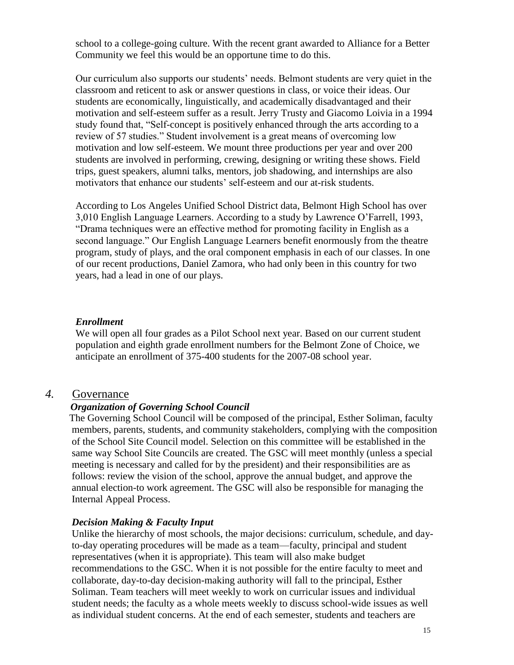school to a college-going culture. With the recent grant awarded to Alliance for a Better Community we feel this would be an opportune time to do this.

Our curriculum also supports our students' needs. Belmont students are very quiet in the classroom and reticent to ask or answer questions in class, or voice their ideas. Our students are economically, linguistically, and academically disadvantaged and their motivation and self-esteem suffer as a result. Jerry Trusty and Giacomo Loivia in a 1994 study found that, "Self-concept is positively enhanced through the arts according to a review of 57 studies." Student involvement is a great means of overcoming low motivation and low self-esteem. We mount three productions per year and over 200 students are involved in performing, crewing, designing or writing these shows. Field trips, guest speakers, alumni talks, mentors, job shadowing, and internships are also motivators that enhance our students' self-esteem and our at-risk students.

According to Los Angeles Unified School District data, Belmont High School has over 3,010 English Language Learners. According to a study by Lawrence O'Farrell, 1993, "Drama techniques were an effective method for promoting facility in English as a second language." Our English Language Learners benefit enormously from the theatre program, study of plays, and the oral component emphasis in each of our classes. In one of our recent productions, Daniel Zamora, who had only been in this country for two years, had a lead in one of our plays.

#### *Enrollment*

We will open all four grades as a Pilot School next year. Based on our current student population and eighth grade enrollment numbers for the Belmont Zone of Choice, we anticipate an enrollment of 375-400 students for the 2007-08 school year.

#### *4.* Governance

#### *Organization of Governing School Council*

 The Governing School Council will be composed of the principal, Esther Soliman, faculty members, parents, students, and community stakeholders, complying with the composition of the School Site Council model. Selection on this committee will be established in the same way School Site Councils are created. The GSC will meet monthly (unless a special meeting is necessary and called for by the president) and their responsibilities are as follows: review the vision of the school, approve the annual budget, and approve the annual election-to work agreement. The GSC will also be responsible for managing the Internal Appeal Process.

#### *Decision Making & Faculty Input*

Unlike the hierarchy of most schools, the major decisions: curriculum, schedule, and dayto-day operating procedures will be made as a team—faculty, principal and student representatives (when it is appropriate). This team will also make budget recommendations to the GSC. When it is not possible for the entire faculty to meet and collaborate, day-to-day decision-making authority will fall to the principal, Esther Soliman. Team teachers will meet weekly to work on curricular issues and individual student needs; the faculty as a whole meets weekly to discuss school-wide issues as well as individual student concerns. At the end of each semester, students and teachers are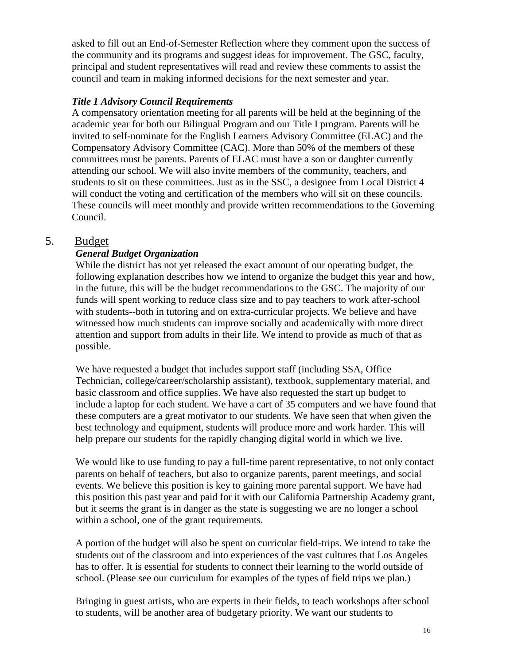asked to fill out an End-of-Semester Reflection where they comment upon the success of the community and its programs and suggest ideas for improvement. The GSC, faculty, principal and student representatives will read and review these comments to assist the council and team in making informed decisions for the next semester and year.

#### *Title 1 Advisory Council Requirements*

A compensatory orientation meeting for all parents will be held at the beginning of the academic year for both our Bilingual Program and our Title I program. Parents will be invited to self-nominate for the English Learners Advisory Committee (ELAC) and the Compensatory Advisory Committee (CAC). More than 50% of the members of these committees must be parents. Parents of ELAC must have a son or daughter currently attending our school. We will also invite members of the community, teachers, and students to sit on these committees. Just as in the SSC, a designee from Local District 4 will conduct the voting and certification of the members who will sit on these councils. These councils will meet monthly and provide written recommendations to the Governing Council.

### 5. Budget

### *General Budget Organization*

While the district has not yet released the exact amount of our operating budget, the following explanation describes how we intend to organize the budget this year and how, in the future, this will be the budget recommendations to the GSC. The majority of our funds will spent working to reduce class size and to pay teachers to work after-school with students--both in tutoring and on extra-curricular projects. We believe and have witnessed how much students can improve socially and academically with more direct attention and support from adults in their life. We intend to provide as much of that as possible.

We have requested a budget that includes support staff (including SSA, Office Technician, college/career/scholarship assistant), textbook, supplementary material, and basic classroom and office supplies. We have also requested the start up budget to include a laptop for each student. We have a cart of 35 computers and we have found that these computers are a great motivator to our students. We have seen that when given the best technology and equipment, students will produce more and work harder. This will help prepare our students for the rapidly changing digital world in which we live.

We would like to use funding to pay a full-time parent representative, to not only contact parents on behalf of teachers, but also to organize parents, parent meetings, and social events. We believe this position is key to gaining more parental support. We have had this position this past year and paid for it with our California Partnership Academy grant, but it seems the grant is in danger as the state is suggesting we are no longer a school within a school, one of the grant requirements.

A portion of the budget will also be spent on curricular field-trips. We intend to take the students out of the classroom and into experiences of the vast cultures that Los Angeles has to offer. It is essential for students to connect their learning to the world outside of school. (Please see our curriculum for examples of the types of field trips we plan.)

Bringing in guest artists, who are experts in their fields, to teach workshops after school to students, will be another area of budgetary priority. We want our students to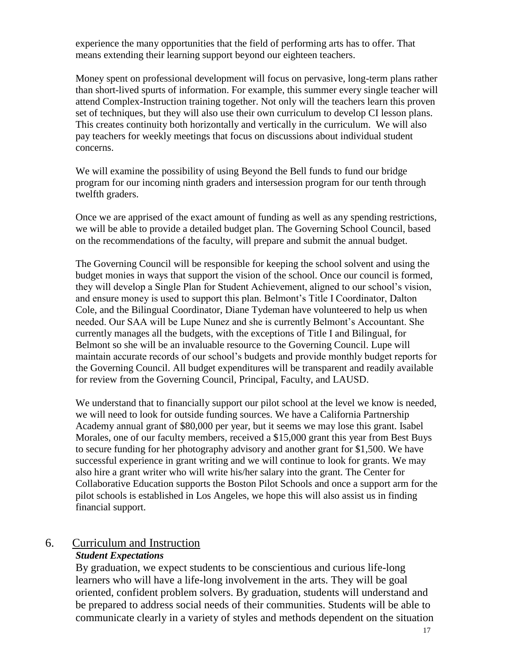experience the many opportunities that the field of performing arts has to offer. That means extending their learning support beyond our eighteen teachers.

Money spent on professional development will focus on pervasive, long-term plans rather than short-lived spurts of information. For example, this summer every single teacher will attend Complex-Instruction training together. Not only will the teachers learn this proven set of techniques, but they will also use their own curriculum to develop CI lesson plans. This creates continuity both horizontally and vertically in the curriculum. We will also pay teachers for weekly meetings that focus on discussions about individual student concerns.

We will examine the possibility of using Beyond the Bell funds to fund our bridge program for our incoming ninth graders and intersession program for our tenth through twelfth graders.

Once we are apprised of the exact amount of funding as well as any spending restrictions, we will be able to provide a detailed budget plan. The Governing School Council, based on the recommendations of the faculty, will prepare and submit the annual budget.

The Governing Council will be responsible for keeping the school solvent and using the budget monies in ways that support the vision of the school. Once our council is formed, they will develop a Single Plan for Student Achievement, aligned to our school's vision, and ensure money is used to support this plan. Belmont's Title I Coordinator, Dalton Cole, and the Bilingual Coordinator, Diane Tydeman have volunteered to help us when needed. Our SAA will be Lupe Nunez and she is currently Belmont's Accountant. She currently manages all the budgets, with the exceptions of Title I and Bilingual, for Belmont so she will be an invaluable resource to the Governing Council. Lupe will maintain accurate records of our school's budgets and provide monthly budget reports for the Governing Council. All budget expenditures will be transparent and readily available for review from the Governing Council, Principal, Faculty, and LAUSD.

We understand that to financially support our pilot school at the level we know is needed, we will need to look for outside funding sources. We have a California Partnership Academy annual grant of \$80,000 per year, but it seems we may lose this grant. Isabel Morales, one of our faculty members, received a \$15,000 grant this year from Best Buys to secure funding for her photography advisory and another grant for \$1,500. We have successful experience in grant writing and we will continue to look for grants. We may also hire a grant writer who will write his/her salary into the grant. The Center for Collaborative Education supports the Boston Pilot Schools and once a support arm for the pilot schools is established in Los Angeles, we hope this will also assist us in finding financial support.

# 6. Curriculum and Instruction

### *Student Expectations*

By graduation, we expect students to be conscientious and curious life-long learners who will have a life-long involvement in the arts. They will be goal oriented, confident problem solvers. By graduation, students will understand and be prepared to address social needs of their communities. Students will be able to communicate clearly in a variety of styles and methods dependent on the situation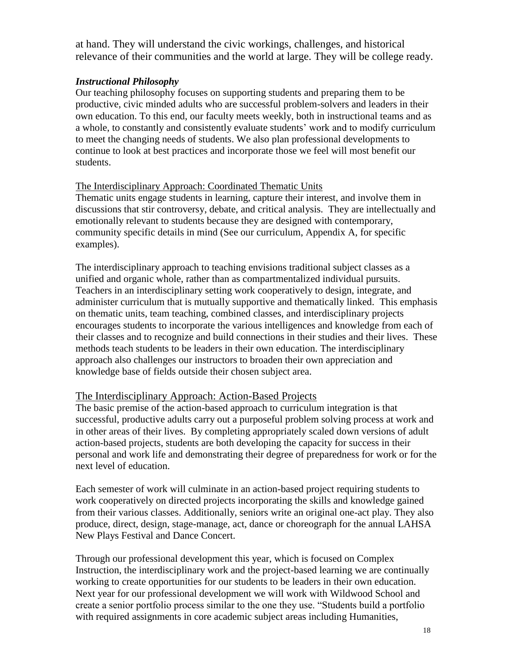at hand. They will understand the civic workings, challenges, and historical relevance of their communities and the world at large. They will be college ready.

#### *Instructional Philosophy*

Our teaching philosophy focuses on supporting students and preparing them to be productive, civic minded adults who are successful problem-solvers and leaders in their own education. To this end, our faculty meets weekly, both in instructional teams and as a whole, to constantly and consistently evaluate students' work and to modify curriculum to meet the changing needs of students. We also plan professional developments to continue to look at best practices and incorporate those we feel will most benefit our students.

#### The Interdisciplinary Approach: Coordinated Thematic Units

Thematic units engage students in learning, capture their interest, and involve them in discussions that stir controversy, debate, and critical analysis. They are intellectually and emotionally relevant to students because they are designed with contemporary, community specific details in mind (See our curriculum, Appendix A, for specific examples).

The interdisciplinary approach to teaching envisions traditional subject classes as a unified and organic whole, rather than as compartmentalized individual pursuits. Teachers in an interdisciplinary setting work cooperatively to design, integrate, and administer curriculum that is mutually supportive and thematically linked. This emphasis on thematic units, team teaching, combined classes, and interdisciplinary projects encourages students to incorporate the various intelligences and knowledge from each of their classes and to recognize and build connections in their studies and their lives. These methods teach students to be leaders in their own education. The interdisciplinary approach also challenges our instructors to broaden their own appreciation and knowledge base of fields outside their chosen subject area.

### The Interdisciplinary Approach: Action-Based Projects

The basic premise of the action-based approach to curriculum integration is that successful, productive adults carry out a purposeful problem solving process at work and in other areas of their lives. By completing appropriately scaled down versions of adult action-based projects, students are both developing the capacity for success in their personal and work life and demonstrating their degree of preparedness for work or for the next level of education.

Each semester of work will culminate in an action-based project requiring students to work cooperatively on directed projects incorporating the skills and knowledge gained from their various classes. Additionally, seniors write an original one-act play. They also produce, direct, design, stage-manage, act, dance or choreograph for the annual LAHSA New Plays Festival and Dance Concert.

Through our professional development this year, which is focused on Complex Instruction, the interdisciplinary work and the project-based learning we are continually working to create opportunities for our students to be leaders in their own education. Next year for our professional development we will work with Wildwood School and create a senior portfolio process similar to the one they use. "Students build a portfolio with required assignments in core academic subject areas including Humanities,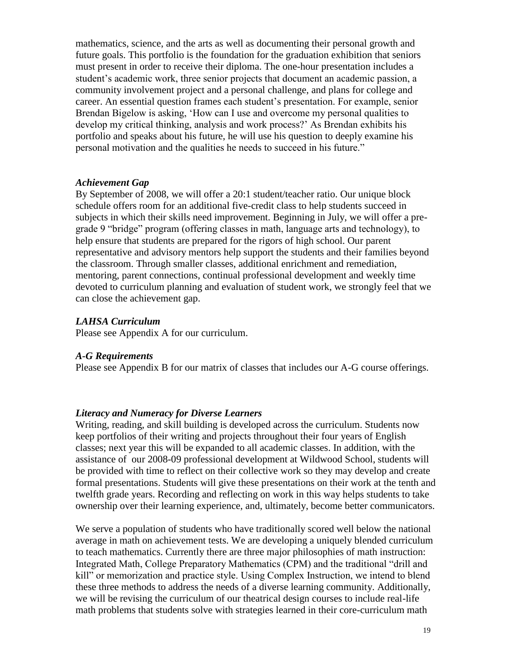mathematics, science, and the arts as well as documenting their personal growth and future goals. This portfolio is the foundation for the graduation exhibition that seniors must present in order to receive their diploma. The one-hour presentation includes a student's academic work, three senior projects that document an academic passion, a community involvement project and a personal challenge, and plans for college and career. An essential question frames each student's presentation. For example, senior Brendan Bigelow is asking, 'How can I use and overcome my personal qualities to develop my critical thinking, analysis and work process?' As Brendan exhibits his portfolio and speaks about his future, he will use his question to deeply examine his personal motivation and the qualities he needs to succeed in his future."

#### *Achievement Gap*

By September of 2008, we will offer a 20:1 student/teacher ratio. Our unique block schedule offers room for an additional five-credit class to help students succeed in subjects in which their skills need improvement. Beginning in July, we will offer a pregrade 9 "bridge" program (offering classes in math, language arts and technology), to help ensure that students are prepared for the rigors of high school. Our parent representative and advisory mentors help support the students and their families beyond the classroom. Through smaller classes, additional enrichment and remediation, mentoring, parent connections, continual professional development and weekly time devoted to curriculum planning and evaluation of student work, we strongly feel that we can close the achievement gap.

#### *LAHSA Curriculum*

Please see Appendix A for our curriculum.

#### *A-G Requirements*

Please see Appendix B for our matrix of classes that includes our A-G course offerings.

#### *Literacy and Numeracy for Diverse Learners*

Writing, reading, and skill building is developed across the curriculum. Students now keep portfolios of their writing and projects throughout their four years of English classes; next year this will be expanded to all academic classes. In addition, with the assistance of our 2008-09 professional development at Wildwood School, students will be provided with time to reflect on their collective work so they may develop and create formal presentations. Students will give these presentations on their work at the tenth and twelfth grade years. Recording and reflecting on work in this way helps students to take ownership over their learning experience, and, ultimately, become better communicators.

We serve a population of students who have traditionally scored well below the national average in math on achievement tests. We are developing a uniquely blended curriculum to teach mathematics. Currently there are three major philosophies of math instruction: Integrated Math, College Preparatory Mathematics (CPM) and the traditional "drill and kill" or memorization and practice style. Using Complex Instruction, we intend to blend these three methods to address the needs of a diverse learning community. Additionally, we will be revising the curriculum of our theatrical design courses to include real-life math problems that students solve with strategies learned in their core-curriculum math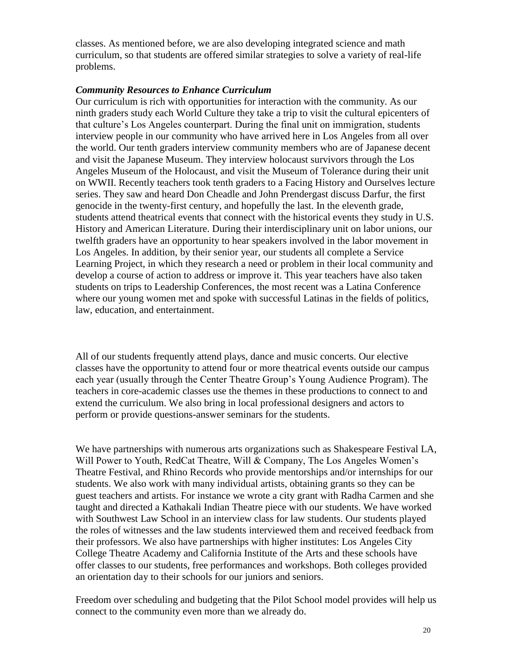classes. As mentioned before, we are also developing integrated science and math curriculum, so that students are offered similar strategies to solve a variety of real-life problems.

#### *Community Resources to Enhance Curriculum*

Our curriculum is rich with opportunities for interaction with the community. As our ninth graders study each World Culture they take a trip to visit the cultural epicenters of that culture's Los Angeles counterpart. During the final unit on immigration, students interview people in our community who have arrived here in Los Angeles from all over the world. Our tenth graders interview community members who are of Japanese decent and visit the Japanese Museum. They interview holocaust survivors through the Los Angeles Museum of the Holocaust, and visit the Museum of Tolerance during their unit on WWII. Recently teachers took tenth graders to a Facing History and Ourselves lecture series. They saw and heard Don Cheadle and John Prendergast discuss Darfur, the first genocide in the twenty-first century, and hopefully the last. In the eleventh grade, students attend theatrical events that connect with the historical events they study in U.S. History and American Literature. During their interdisciplinary unit on labor unions, our twelfth graders have an opportunity to hear speakers involved in the labor movement in Los Angeles. In addition, by their senior year, our students all complete a Service Learning Project, in which they research a need or problem in their local community and develop a course of action to address or improve it. This year teachers have also taken students on trips to Leadership Conferences, the most recent was a Latina Conference where our young women met and spoke with successful Latinas in the fields of politics, law, education, and entertainment.

All of our students frequently attend plays, dance and music concerts. Our elective classes have the opportunity to attend four or more theatrical events outside our campus each year (usually through the Center Theatre Group's Young Audience Program). The teachers in core-academic classes use the themes in these productions to connect to and extend the curriculum. We also bring in local professional designers and actors to perform or provide questions-answer seminars for the students.

We have partnerships with numerous arts organizations such as Shakespeare Festival LA, Will Power to Youth, RedCat Theatre, Will & Company, The Los Angeles Women's Theatre Festival, and Rhino Records who provide mentorships and/or internships for our students. We also work with many individual artists, obtaining grants so they can be guest teachers and artists. For instance we wrote a city grant with Radha Carmen and she taught and directed a Kathakali Indian Theatre piece with our students. We have worked with Southwest Law School in an interview class for law students. Our students played the roles of witnesses and the law students interviewed them and received feedback from their professors. We also have partnerships with higher institutes: Los Angeles City College Theatre Academy and California Institute of the Arts and these schools have offer classes to our students, free performances and workshops. Both colleges provided an orientation day to their schools for our juniors and seniors.

Freedom over scheduling and budgeting that the Pilot School model provides will help us connect to the community even more than we already do.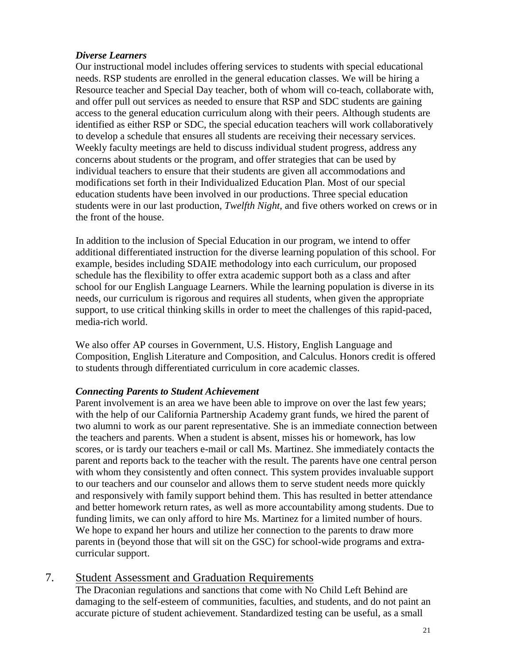#### *Diverse Learners*

Our instructional model includes offering services to students with special educational needs. RSP students are enrolled in the general education classes. We will be hiring a Resource teacher and Special Day teacher, both of whom will co-teach, collaborate with, and offer pull out services as needed to ensure that RSP and SDC students are gaining access to the general education curriculum along with their peers. Although students are identified as either RSP or SDC, the special education teachers will work collaboratively to develop a schedule that ensures all students are receiving their necessary services. Weekly faculty meetings are held to discuss individual student progress, address any concerns about students or the program, and offer strategies that can be used by individual teachers to ensure that their students are given all accommodations and modifications set forth in their Individualized Education Plan. Most of our special education students have been involved in our productions. Three special education students were in our last production, *Twelfth Night*, and five others worked on crews or in the front of the house.

In addition to the inclusion of Special Education in our program, we intend to offer additional differentiated instruction for the diverse learning population of this school. For example, besides including SDAIE methodology into each curriculum, our proposed schedule has the flexibility to offer extra academic support both as a class and after school for our English Language Learners. While the learning population is diverse in its needs, our curriculum is rigorous and requires all students, when given the appropriate support, to use critical thinking skills in order to meet the challenges of this rapid-paced, media-rich world.

We also offer AP courses in Government, U.S. History, English Language and Composition, English Literature and Composition, and Calculus. Honors credit is offered to students through differentiated curriculum in core academic classes.

#### *Connecting Parents to Student Achievement*

Parent involvement is an area we have been able to improve on over the last few years; with the help of our California Partnership Academy grant funds, we hired the parent of two alumni to work as our parent representative. She is an immediate connection between the teachers and parents. When a student is absent, misses his or homework, has low scores, or is tardy our teachers e-mail or call Ms. Martinez. She immediately contacts the parent and reports back to the teacher with the result. The parents have one central person with whom they consistently and often connect. This system provides invaluable support to our teachers and our counselor and allows them to serve student needs more quickly and responsively with family support behind them. This has resulted in better attendance and better homework return rates, as well as more accountability among students. Due to funding limits, we can only afford to hire Ms. Martinez for a limited number of hours. We hope to expand her hours and utilize her connection to the parents to draw more parents in (beyond those that will sit on the GSC) for school-wide programs and extracurricular support.

### 7. Student Assessment and Graduation Requirements

The Draconian regulations and sanctions that come with No Child Left Behind are damaging to the self-esteem of communities, faculties, and students, and do not paint an accurate picture of student achievement. Standardized testing can be useful, as a small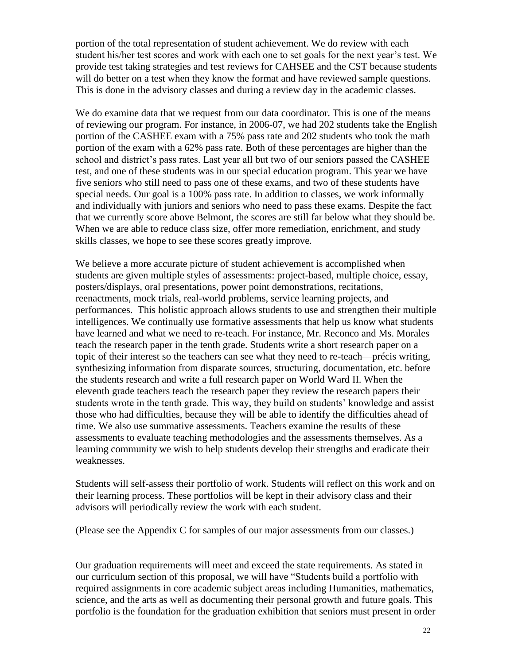portion of the total representation of student achievement. We do review with each student his/her test scores and work with each one to set goals for the next year's test. We provide test taking strategies and test reviews for CAHSEE and the CST because students will do better on a test when they know the format and have reviewed sample questions. This is done in the advisory classes and during a review day in the academic classes.

We do examine data that we request from our data coordinator. This is one of the means of reviewing our program. For instance, in 2006-07, we had 202 students take the English portion of the CASHEE exam with a 75% pass rate and 202 students who took the math portion of the exam with a 62% pass rate. Both of these percentages are higher than the school and district's pass rates. Last year all but two of our seniors passed the CASHEE test, and one of these students was in our special education program. This year we have five seniors who still need to pass one of these exams, and two of these students have special needs. Our goal is a 100% pass rate. In addition to classes, we work informally and individually with juniors and seniors who need to pass these exams. Despite the fact that we currently score above Belmont, the scores are still far below what they should be. When we are able to reduce class size, offer more remediation, enrichment, and study skills classes, we hope to see these scores greatly improve.

We believe a more accurate picture of student achievement is accomplished when students are given multiple styles of assessments: project-based, multiple choice, essay, posters/displays, oral presentations, power point demonstrations, recitations, reenactments, mock trials, real-world problems, service learning projects, and performances. This holistic approach allows students to use and strengthen their multiple intelligences. We continually use formative assessments that help us know what students have learned and what we need to re-teach. For instance, Mr. Reconco and Ms. Morales teach the research paper in the tenth grade. Students write a short research paper on a topic of their interest so the teachers can see what they need to re-teach—précis writing, synthesizing information from disparate sources, structuring, documentation, etc. before the students research and write a full research paper on World Ward II. When the eleventh grade teachers teach the research paper they review the research papers their students wrote in the tenth grade. This way, they build on students' knowledge and assist those who had difficulties, because they will be able to identify the difficulties ahead of time. We also use summative assessments. Teachers examine the results of these assessments to evaluate teaching methodologies and the assessments themselves. As a learning community we wish to help students develop their strengths and eradicate their weaknesses.

Students will self-assess their portfolio of work. Students will reflect on this work and on their learning process. These portfolios will be kept in their advisory class and their advisors will periodically review the work with each student.

(Please see the Appendix C for samples of our major assessments from our classes.)

Our graduation requirements will meet and exceed the state requirements. As stated in our curriculum section of this proposal, we will have "Students build a portfolio with required assignments in core academic subject areas including Humanities, mathematics, science, and the arts as well as documenting their personal growth and future goals. This portfolio is the foundation for the graduation exhibition that seniors must present in order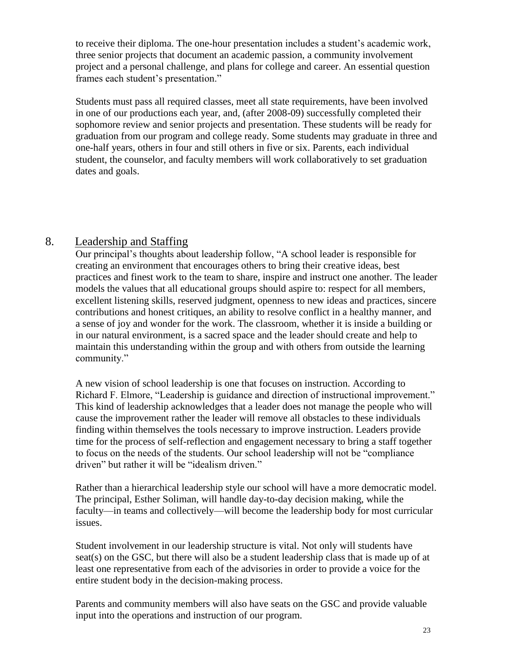to receive their diploma. The one-hour presentation includes a student's academic work, three senior projects that document an academic passion, a community involvement project and a personal challenge, and plans for college and career. An essential question frames each student's presentation."

Students must pass all required classes, meet all state requirements, have been involved in one of our productions each year, and, (after 2008-09) successfully completed their sophomore review and senior projects and presentation. These students will be ready for graduation from our program and college ready. Some students may graduate in three and one-half years, others in four and still others in five or six. Parents, each individual student, the counselor, and faculty members will work collaboratively to set graduation dates and goals.

# 8. Leadership and Staffing

Our principal's thoughts about leadership follow, "A school leader is responsible for creating an environment that encourages others to bring their creative ideas, best practices and finest work to the team to share, inspire and instruct one another. The leader models the values that all educational groups should aspire to: respect for all members, excellent listening skills, reserved judgment, openness to new ideas and practices, sincere contributions and honest critiques, an ability to resolve conflict in a healthy manner, and a sense of joy and wonder for the work. The classroom, whether it is inside a building or in our natural environment, is a sacred space and the leader should create and help to maintain this understanding within the group and with others from outside the learning community."

A new vision of school leadership is one that focuses on instruction. According to Richard F. Elmore, "Leadership is guidance and direction of instructional improvement." This kind of leadership acknowledges that a leader does not manage the people who will cause the improvement rather the leader will remove all obstacles to these individuals finding within themselves the tools necessary to improve instruction. Leaders provide time for the process of self-reflection and engagement necessary to bring a staff together to focus on the needs of the students. Our school leadership will not be "compliance driven" but rather it will be "idealism driven."

Rather than a hierarchical leadership style our school will have a more democratic model. The principal, Esther Soliman, will handle day-to-day decision making, while the faculty—in teams and collectively—will become the leadership body for most curricular issues.

Student involvement in our leadership structure is vital. Not only will students have seat(s) on the GSC, but there will also be a student leadership class that is made up of at least one representative from each of the advisories in order to provide a voice for the entire student body in the decision-making process.

Parents and community members will also have seats on the GSC and provide valuable input into the operations and instruction of our program.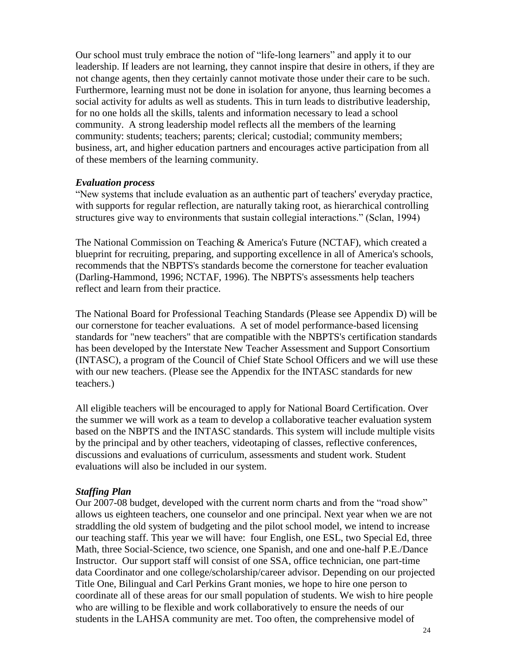Our school must truly embrace the notion of "life-long learners" and apply it to our leadership. If leaders are not learning, they cannot inspire that desire in others, if they are not change agents, then they certainly cannot motivate those under their care to be such. Furthermore, learning must not be done in isolation for anyone, thus learning becomes a social activity for adults as well as students. This in turn leads to distributive leadership, for no one holds all the skills, talents and information necessary to lead a school community. A strong leadership model reflects all the members of the learning community: students; teachers; parents; clerical; custodial; community members; business, art, and higher education partners and encourages active participation from all of these members of the learning community.

#### *Evaluation process*

"New systems that include evaluation as an authentic part of teachers' everyday practice, with supports for regular reflection, are naturally taking root, as hierarchical controlling structures give way to environments that sustain collegial interactions." (Sclan, 1994)

The National Commission on Teaching & America's Future (NCTAF), which created a blueprint for recruiting, preparing, and supporting excellence in all of America's schools, recommends that the NBPTS's standards become the cornerstone for teacher evaluation (Darling-Hammond, 1996; NCTAF, 1996). The NBPTS's assessments help teachers reflect and learn from their practice.

The National Board for Professional Teaching Standards (Please see Appendix D) will be our cornerstone for teacher evaluations. A set of model performance-based licensing standards for "new teachers" that are compatible with the NBPTS's certification standards has been developed by the Interstate New Teacher Assessment and Support Consortium (INTASC), a program of the Council of Chief State School Officers and we will use these with our new teachers. (Please see the Appendix for the INTASC standards for new teachers.)

All eligible teachers will be encouraged to apply for National Board Certification. Over the summer we will work as a team to develop a collaborative teacher evaluation system based on the NBPTS and the INTASC standards. This system will include multiple visits by the principal and by other teachers, videotaping of classes, reflective conferences, discussions and evaluations of curriculum, assessments and student work. Student evaluations will also be included in our system.

#### *Staffing Plan*

Our 2007-08 budget, developed with the current norm charts and from the "road show" allows us eighteen teachers, one counselor and one principal. Next year when we are not straddling the old system of budgeting and the pilot school model, we intend to increase our teaching staff. This year we will have: four English, one ESL, two Special Ed, three Math, three Social-Science, two science, one Spanish, and one and one-half P.E./Dance Instructor. Our support staff will consist of one SSA, office technician, one part-time data Coordinator and one college/scholarship/career advisor. Depending on our projected Title One, Bilingual and Carl Perkins Grant monies, we hope to hire one person to coordinate all of these areas for our small population of students. We wish to hire people who are willing to be flexible and work collaboratively to ensure the needs of our students in the LAHSA community are met. Too often, the comprehensive model of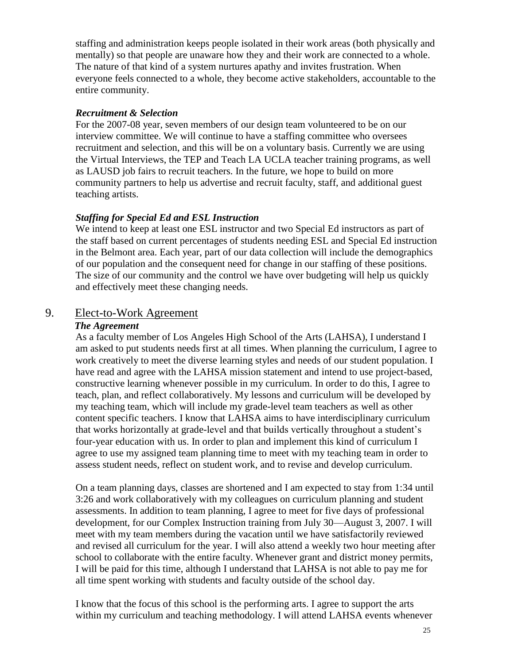staffing and administration keeps people isolated in their work areas (both physically and mentally) so that people are unaware how they and their work are connected to a whole. The nature of that kind of a system nurtures apathy and invites frustration. When everyone feels connected to a whole, they become active stakeholders, accountable to the entire community.

#### *Recruitment & Selection*

For the 2007-08 year, seven members of our design team volunteered to be on our interview committee. We will continue to have a staffing committee who oversees recruitment and selection, and this will be on a voluntary basis. Currently we are using the Virtual Interviews, the TEP and Teach LA UCLA teacher training programs, as well as LAUSD job fairs to recruit teachers. In the future, we hope to build on more community partners to help us advertise and recruit faculty, staff, and additional guest teaching artists.

#### *Staffing for Special Ed and ESL Instruction*

We intend to keep at least one ESL instructor and two Special Ed instructors as part of the staff based on current percentages of students needing ESL and Special Ed instruction in the Belmont area. Each year, part of our data collection will include the demographics of our population and the consequent need for change in our staffing of these positions. The size of our community and the control we have over budgeting will help us quickly and effectively meet these changing needs.

# 9. Elect-to-Work Agreement

### *The Agreement*

As a faculty member of Los Angeles High School of the Arts (LAHSA), I understand I am asked to put students needs first at all times. When planning the curriculum, I agree to work creatively to meet the diverse learning styles and needs of our student population. I have read and agree with the LAHSA mission statement and intend to use project-based, constructive learning whenever possible in my curriculum. In order to do this, I agree to teach, plan, and reflect collaboratively. My lessons and curriculum will be developed by my teaching team, which will include my grade-level team teachers as well as other content specific teachers. I know that LAHSA aims to have interdisciplinary curriculum that works horizontally at grade-level and that builds vertically throughout a student's four-year education with us. In order to plan and implement this kind of curriculum I agree to use my assigned team planning time to meet with my teaching team in order to assess student needs, reflect on student work, and to revise and develop curriculum.

On a team planning days, classes are shortened and I am expected to stay from 1:34 until 3:26 and work collaboratively with my colleagues on curriculum planning and student assessments. In addition to team planning, I agree to meet for five days of professional development, for our Complex Instruction training from July 30—August 3, 2007. I will meet with my team members during the vacation until we have satisfactorily reviewed and revised all curriculum for the year. I will also attend a weekly two hour meeting after school to collaborate with the entire faculty. Whenever grant and district money permits, I will be paid for this time, although I understand that LAHSA is not able to pay me for all time spent working with students and faculty outside of the school day.

I know that the focus of this school is the performing arts. I agree to support the arts within my curriculum and teaching methodology. I will attend LAHSA events whenever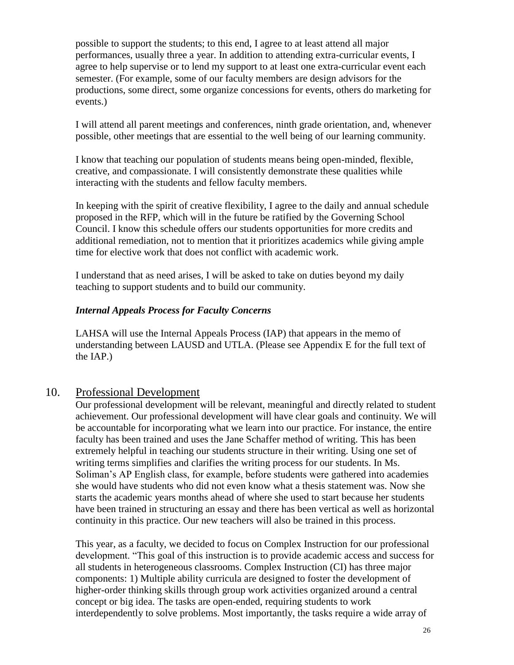possible to support the students; to this end, I agree to at least attend all major performances, usually three a year. In addition to attending extra-curricular events, I agree to help supervise or to lend my support to at least one extra-curricular event each semester. (For example, some of our faculty members are design advisors for the productions, some direct, some organize concessions for events, others do marketing for events.)

I will attend all parent meetings and conferences, ninth grade orientation, and, whenever possible, other meetings that are essential to the well being of our learning community.

I know that teaching our population of students means being open-minded, flexible, creative, and compassionate. I will consistently demonstrate these qualities while interacting with the students and fellow faculty members.

In keeping with the spirit of creative flexibility, I agree to the daily and annual schedule proposed in the RFP, which will in the future be ratified by the Governing School Council. I know this schedule offers our students opportunities for more credits and additional remediation, not to mention that it prioritizes academics while giving ample time for elective work that does not conflict with academic work.

I understand that as need arises, I will be asked to take on duties beyond my daily teaching to support students and to build our community.

### *Internal Appeals Process for Faculty Concerns*

LAHSA will use the Internal Appeals Process (IAP) that appears in the memo of understanding between LAUSD and UTLA. (Please see Appendix E for the full text of the IAP.)

# 10. Professional Development

Our professional development will be relevant, meaningful and directly related to student achievement. Our professional development will have clear goals and continuity. We will be accountable for incorporating what we learn into our practice. For instance, the entire faculty has been trained and uses the Jane Schaffer method of writing. This has been extremely helpful in teaching our students structure in their writing. Using one set of writing terms simplifies and clarifies the writing process for our students. In Ms. Soliman's AP English class, for example, before students were gathered into academies she would have students who did not even know what a thesis statement was. Now she starts the academic years months ahead of where she used to start because her students have been trained in structuring an essay and there has been vertical as well as horizontal continuity in this practice. Our new teachers will also be trained in this process.

This year, as a faculty, we decided to focus on Complex Instruction for our professional development. "This goal of this instruction is to provide academic access and success for all students in heterogeneous classrooms. Complex Instruction (CI) has three major components: 1) Multiple ability curricula are designed to foster the development of higher-order thinking skills through group work activities organized around a central concept or big idea. The tasks are open-ended, requiring students to work interdependently to solve problems. Most importantly, the tasks require a wide array of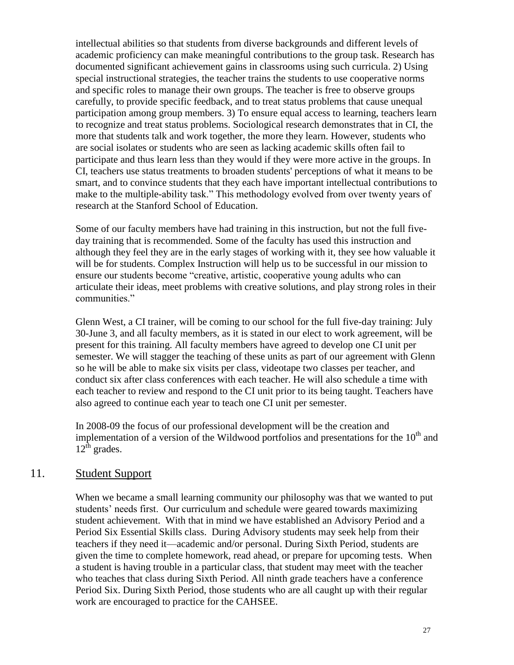intellectual abilities so that students from diverse backgrounds and different levels of academic proficiency can make meaningful contributions to the group task. Research has documented significant achievement gains in classrooms using such curricula. 2) Using special instructional strategies, the teacher trains the students to use cooperative norms and specific roles to manage their own groups. The teacher is free to observe groups carefully, to provide specific feedback, and to treat status problems that cause unequal participation among group members. 3) To ensure equal access to learning, teachers learn to recognize and treat status problems. Sociological research demonstrates that in CI, the more that students talk and work together, the more they learn. However, students who are social isolates or students who are seen as lacking academic skills often fail to participate and thus learn less than they would if they were more active in the groups. In CI, teachers use status treatments to broaden students' perceptions of what it means to be smart, and to convince students that they each have important intellectual contributions to make to the multiple-ability task." This methodology evolved from over twenty years of research at the Stanford School of Education.

Some of our faculty members have had training in this instruction, but not the full fiveday training that is recommended. Some of the faculty has used this instruction and although they feel they are in the early stages of working with it, they see how valuable it will be for students. Complex Instruction will help us to be successful in our mission to ensure our students become "creative, artistic, cooperative young adults who can articulate their ideas, meet problems with creative solutions, and play strong roles in their communities."

Glenn West, a CI trainer, will be coming to our school for the full five-day training: July 30-June 3, and all faculty members, as it is stated in our elect to work agreement, will be present for this training. All faculty members have agreed to develop one CI unit per semester. We will stagger the teaching of these units as part of our agreement with Glenn so he will be able to make six visits per class, videotape two classes per teacher, and conduct six after class conferences with each teacher. He will also schedule a time with each teacher to review and respond to the CI unit prior to its being taught. Teachers have also agreed to continue each year to teach one CI unit per semester.

In 2008-09 the focus of our professional development will be the creation and implementation of a version of the Wildwood portfolios and presentations for the  $10<sup>th</sup>$  and  $12^{\text{th}}$  grades.

### 11. Student Support

When we became a small learning community our philosophy was that we wanted to put students' needs first. Our curriculum and schedule were geared towards maximizing student achievement. With that in mind we have established an Advisory Period and a Period Six Essential Skills class. During Advisory students may seek help from their teachers if they need it—academic and/or personal. During Sixth Period, students are given the time to complete homework, read ahead, or prepare for upcoming tests. When a student is having trouble in a particular class, that student may meet with the teacher who teaches that class during Sixth Period. All ninth grade teachers have a conference Period Six. During Sixth Period, those students who are all caught up with their regular work are encouraged to practice for the CAHSEE.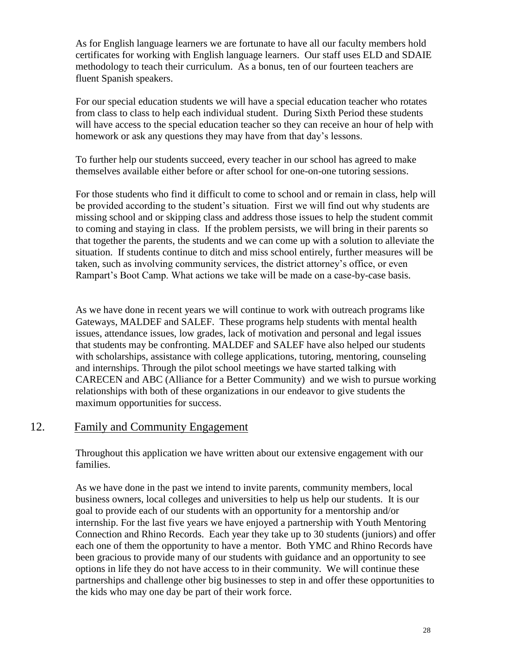As for English language learners we are fortunate to have all our faculty members hold certificates for working with English language learners. Our staff uses ELD and SDAIE methodology to teach their curriculum. As a bonus, ten of our fourteen teachers are fluent Spanish speakers.

For our special education students we will have a special education teacher who rotates from class to class to help each individual student. During Sixth Period these students will have access to the special education teacher so they can receive an hour of help with homework or ask any questions they may have from that day's lessons.

To further help our students succeed, every teacher in our school has agreed to make themselves available either before or after school for one-on-one tutoring sessions.

For those students who find it difficult to come to school and or remain in class, help will be provided according to the student's situation. First we will find out why students are missing school and or skipping class and address those issues to help the student commit to coming and staying in class. If the problem persists, we will bring in their parents so that together the parents, the students and we can come up with a solution to alleviate the situation. If students continue to ditch and miss school entirely, further measures will be taken, such as involving community services, the district attorney's office, or even Rampart's Boot Camp. What actions we take will be made on a case-by-case basis.

As we have done in recent years we will continue to work with outreach programs like Gateways, MALDEF and SALEF. These programs help students with mental health issues, attendance issues, low grades, lack of motivation and personal and legal issues that students may be confronting. MALDEF and SALEF have also helped our students with scholarships, assistance with college applications, tutoring, mentoring, counseling and internships. Through the pilot school meetings we have started talking with CARECEN and ABC (Alliance for a Better Community) and we wish to pursue working relationships with both of these organizations in our endeavor to give students the maximum opportunities for success.

# 12. Family and Community Engagement

 Throughout this application we have written about our extensive engagement with our families.

As we have done in the past we intend to invite parents, community members, local business owners, local colleges and universities to help us help our students. It is our goal to provide each of our students with an opportunity for a mentorship and/or internship. For the last five years we have enjoyed a partnership with Youth Mentoring Connection and Rhino Records. Each year they take up to 30 students (juniors) and offer each one of them the opportunity to have a mentor. Both YMC and Rhino Records have been gracious to provide many of our students with guidance and an opportunity to see options in life they do not have access to in their community. We will continue these partnerships and challenge other big businesses to step in and offer these opportunities to the kids who may one day be part of their work force.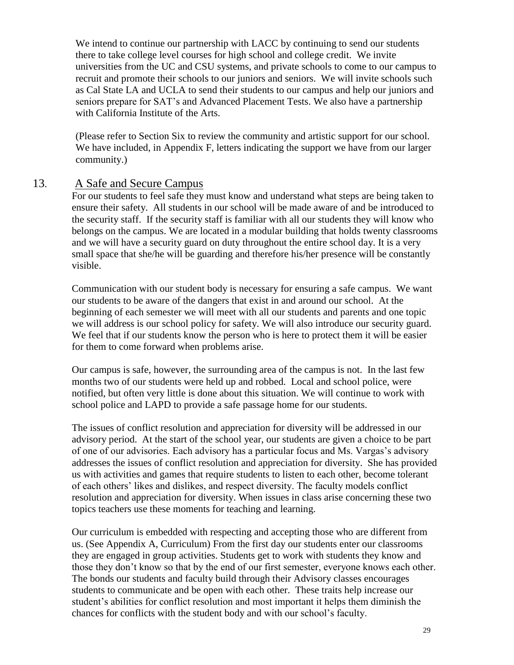We intend to continue our partnership with LACC by continuing to send our students there to take college level courses for high school and college credit. We invite universities from the UC and CSU systems, and private schools to come to our campus to recruit and promote their schools to our juniors and seniors. We will invite schools such as Cal State LA and UCLA to send their students to our campus and help our juniors and seniors prepare for SAT's and Advanced Placement Tests. We also have a partnership with California Institute of the Arts.

(Please refer to Section Six to review the community and artistic support for our school. We have included, in Appendix F, letters indicating the support we have from our larger community.)

### 13. A Safe and Secure Campus

For our students to feel safe they must know and understand what steps are being taken to ensure their safety. All students in our school will be made aware of and be introduced to the security staff. If the security staff is familiar with all our students they will know who belongs on the campus. We are located in a modular building that holds twenty classrooms and we will have a security guard on duty throughout the entire school day. It is a very small space that she/he will be guarding and therefore his/her presence will be constantly visible.

Communication with our student body is necessary for ensuring a safe campus. We want our students to be aware of the dangers that exist in and around our school. At the beginning of each semester we will meet with all our students and parents and one topic we will address is our school policy for safety. We will also introduce our security guard. We feel that if our students know the person who is here to protect them it will be easier for them to come forward when problems arise.

Our campus is safe, however, the surrounding area of the campus is not. In the last few months two of our students were held up and robbed. Local and school police, were notified, but often very little is done about this situation. We will continue to work with school police and LAPD to provide a safe passage home for our students.

The issues of conflict resolution and appreciation for diversity will be addressed in our advisory period. At the start of the school year, our students are given a choice to be part of one of our advisories. Each advisory has a particular focus and Ms. Vargas's advisory addresses the issues of conflict resolution and appreciation for diversity. She has provided us with activities and games that require students to listen to each other, become tolerant of each others' likes and dislikes, and respect diversity. The faculty models conflict resolution and appreciation for diversity. When issues in class arise concerning these two topics teachers use these moments for teaching and learning.

Our curriculum is embedded with respecting and accepting those who are different from us. (See Appendix A, Curriculum) From the first day our students enter our classrooms they are engaged in group activities. Students get to work with students they know and those they don't know so that by the end of our first semester, everyone knows each other. The bonds our students and faculty build through their Advisory classes encourages students to communicate and be open with each other. These traits help increase our student's abilities for conflict resolution and most important it helps them diminish the chances for conflicts with the student body and with our school's faculty.